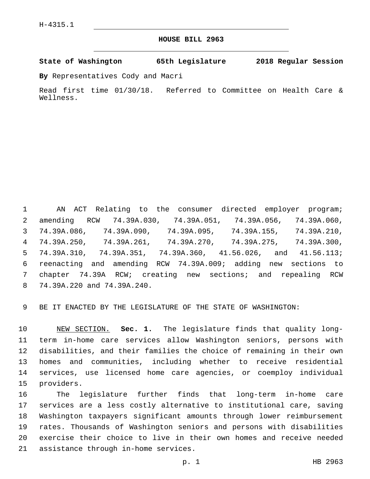## **HOUSE BILL 2963**

**State of Washington 65th Legislature 2018 Regular Session**

**By** Representatives Cody and Macri

Read first time 01/30/18. Referred to Committee on Health Care & Wellness.

 AN ACT Relating to the consumer directed employer program; amending RCW 74.39A.030, 74.39A.051, 74.39A.056, 74.39A.060, 74.39A.086, 74.39A.090, 74.39A.095, 74.39A.155, 74.39A.210, 74.39A.250, 74.39A.261, 74.39A.270, 74.39A.275, 74.39A.300, 74.39A.310, 74.39A.351, 74.39A.360, 41.56.026, and 41.56.113; reenacting and amending RCW 74.39A.009; adding new sections to chapter 74.39A RCW; creating new sections; and repealing RCW 74.39A.220 and 74.39A.240.8

BE IT ENACTED BY THE LEGISLATURE OF THE STATE OF WASHINGTON:

 NEW SECTION. **Sec. 1.** The legislature finds that quality long- term in-home care services allow Washington seniors, persons with disabilities, and their families the choice of remaining in their own homes and communities, including whether to receive residential services, use licensed home care agencies, or coemploy individual providers.

 The legislature further finds that long-term in-home care services are a less costly alternative to institutional care, saving Washington taxpayers significant amounts through lower reimbursement rates. Thousands of Washington seniors and persons with disabilities exercise their choice to live in their own homes and receive needed 21 assistance through in-home services.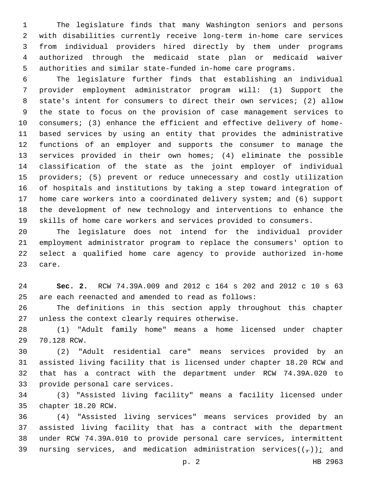The legislature finds that many Washington seniors and persons with disabilities currently receive long-term in-home care services from individual providers hired directly by them under programs authorized through the medicaid state plan or medicaid waiver authorities and similar state-funded in-home care programs.

 The legislature further finds that establishing an individual provider employment administrator program will: (1) Support the state's intent for consumers to direct their own services; (2) allow the state to focus on the provision of case management services to consumers; (3) enhance the efficient and effective delivery of home- based services by using an entity that provides the administrative functions of an employer and supports the consumer to manage the services provided in their own homes; (4) eliminate the possible classification of the state as the joint employer of individual providers; (5) prevent or reduce unnecessary and costly utilization of hospitals and institutions by taking a step toward integration of home care workers into a coordinated delivery system; and (6) support the development of new technology and interventions to enhance the skills of home care workers and services provided to consumers.

 The legislature does not intend for the individual provider employment administrator program to replace the consumers' option to select a qualified home care agency to provide authorized in-home 23 care.

 **Sec. 2.** RCW 74.39A.009 and 2012 c 164 s 202 and 2012 c 10 s 63 are each reenacted and amended to read as follows:

 The definitions in this section apply throughout this chapter 27 unless the context clearly requires otherwise.

 (1) "Adult family home" means a home licensed under chapter 29 70.128 RCW.

 (2) "Adult residential care" means services provided by an assisted living facility that is licensed under chapter 18.20 RCW and that has a contract with the department under RCW 74.39A.020 to 33 provide personal care services.

 (3) "Assisted living facility" means a facility licensed under 35 chapter 18.20 RCW.

 (4) "Assisted living services" means services provided by an assisted living facility that has a contract with the department under RCW 74.39A.010 to provide personal care services, intermittent 39 nursing services, and medication administration services( $(\tau)$ ); and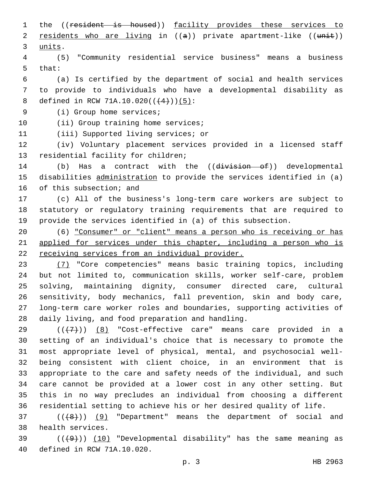1 the ((resident is housed)) facility provides these services to 2 residents who are living in  $((a))$  private apartment-like  $((unit))$ 3 units.

4 (5) "Community residential service business" means a business 5 that:

6 (a) Is certified by the department of social and health services 7 to provide to individuals who have a developmental disability as 8 defined in RCW 71A.10.020( $($  $(4)$ )) $(5)$ :

9 (i) Group home services;

10 (ii) Group training home services;

11 (iii) Supported living services; or

12 (iv) Voluntary placement services provided in a licensed staff 13 residential facility for children;

14 (b) Has a contract with the ((division of)) developmental 15 disabilities administration to provide the services identified in (a) 16 of this subsection; and

17 (c) All of the business's long-term care workers are subject to 18 statutory or regulatory training requirements that are required to 19 provide the services identified in (a) of this subsection.

20 (6) "Consumer" or "client" means a person who is receiving or has 21 applied for services under this chapter, including a person who is 22 receiving services from an individual provider.

 (7) "Core competencies" means basic training topics, including but not limited to, communication skills, worker self-care, problem solving, maintaining dignity, consumer directed care, cultural sensitivity, body mechanics, fall prevention, skin and body care, long-term care worker roles and boundaries, supporting activities of 28 daily living, and food preparation and handling.

 ( $(\overline{+7})$ ) (8) "Cost-effective care" means care provided in a setting of an individual's choice that is necessary to promote the most appropriate level of physical, mental, and psychosocial well- being consistent with client choice, in an environment that is appropriate to the care and safety needs of the individual, and such care cannot be provided at a lower cost in any other setting. But this in no way precludes an individual from choosing a different residential setting to achieve his or her desired quality of life.

37 (( $(48)$ )) (9) "Department" means the department of social and 38 health services.

39  $((+9))$   $(10)$  "Developmental disability" has the same meaning as 40 defined in RCW 71A.10.020.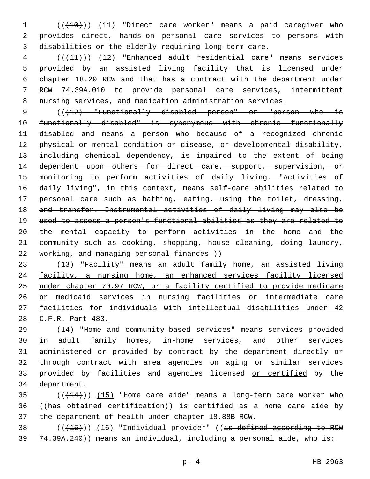1 (( $(10)$ ) (11) "Direct care worker" means a paid caregiver who provides direct, hands-on personal care services to persons with disabilities or the elderly requiring long-term care.

 (((11))) (12) "Enhanced adult residential care" means services provided by an assisted living facility that is licensed under chapter 18.20 RCW and that has a contract with the department under RCW 74.39A.010 to provide personal care services, intermittent nursing services, and medication administration services.

9 (( $\{12\}$  "Functionally disabled person" or "person who is functionally disabled" is synonymous with chronic functionally disabled and means a person who because of a recognized chronic 12 physical or mental condition or disease, or developmental disability, including chemical dependency, is impaired to the extent of being 14 dependent upon others for direct care, support, supervision, or monitoring to perform activities of daily living. "Activities of daily living", in this context, means self-care abilities related to personal care such as bathing, eating, using the toilet, dressing, and transfer. Instrumental activities of daily living may also be used to assess a person's functional abilities as they are related to the mental capacity to perform activities in the home and the community such as cooking, shopping, house cleaning, doing laundry, 22 working, and managing personal finances.))

 (13) "Facility" means an adult family home, an assisted living facility, a nursing home, an enhanced services facility licensed under chapter 70.97 RCW, or a facility certified to provide medicare or medicaid services in nursing facilities or intermediate care facilities for individuals with intellectual disabilities under 42 C.F.R. Part 483.

 (14) "Home and community-based services" means services provided 30 in adult family homes, in-home services, and other services administered or provided by contract by the department directly or through contract with area agencies on aging or similar services 33 provided by facilities and agencies licensed or certified by the 34 department.

 ( $(\overline{+14})$ )  $(15)$  "Home care aide" means a long-term care worker who ((has obtained certification)) is certified as a home care aide by the department of health under chapter 18.88B RCW.

38 (((+15))) (16) "Individual provider" ((is defined according to RCW 74.39A.240)) means an individual, including a personal aide, who is: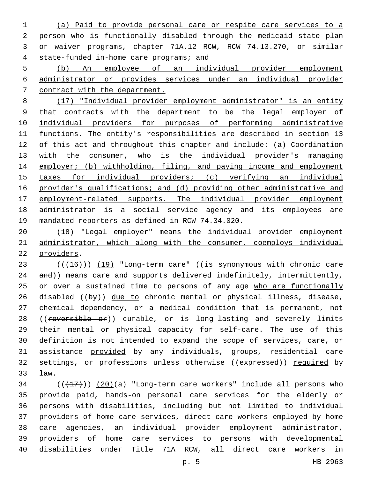(a) Paid to provide personal care or respite care services to a person who is functionally disabled through the medicaid state plan or waiver programs, chapter 71A.12 RCW, RCW 74.13.270, or similar state-funded in-home care programs; and

 (b) An employee of an individual provider employment administrator or provides services under an individual provider contract with the department.

 (17) "Individual provider employment administrator" is an entity that contracts with the department to be the legal employer of individual providers for purposes of performing administrative functions. The entity's responsibilities are described in section 13 of this act and throughout this chapter and include: (a) Coordination 13 with the consumer, who is the individual provider's managing 14 employer; (b) withholding, filing, and paying income and employment taxes for individual providers; (c) verifying an individual provider's qualifications; and (d) providing other administrative and 17 employment-related supports. The individual provider employment administrator is a social service agency and its employees are mandated reporters as defined in RCW 74.34.020.

 (18) "Legal employer" means the individual provider employment administrator, which along with the consumer, coemploys individual 22 providers.

23 (((+16))) (19) "Long-term care" ((is synonymous with chronic care 24 and)) means care and supports delivered indefinitely, intermittently, 25 or over a sustained time to persons of any age who are functionally 26 disabled ( $(byy)$ ) due to chronic mental or physical illness, disease, chemical dependency, or a medical condition that is permanent, not 28 ((reversible or)) curable, or is long-lasting and severely limits their mental or physical capacity for self-care. The use of this definition is not intended to expand the scope of services, care, or assistance provided by any individuals, groups, residential care 32 settings, or professions unless otherwise ((expressed)) required by law.33

 $(1,17)$  ( $(17)$ )) (20)(a) "Long-term care workers" include all persons who provide paid, hands-on personal care services for the elderly or persons with disabilities, including but not limited to individual providers of home care services, direct care workers employed by home care agencies, an individual provider employment administrator, providers of home care services to persons with developmental disabilities under Title 71A RCW, all direct care workers in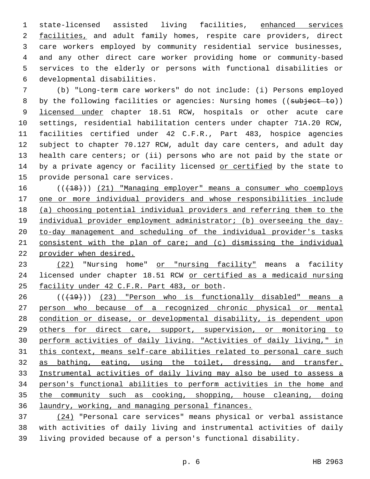state-licensed assisted living facilities, enhanced services 2 facilities, and adult family homes, respite care providers, direct care workers employed by community residential service businesses, and any other direct care worker providing home or community-based services to the elderly or persons with functional disabilities or developmental disabilities.6

 (b) "Long-term care workers" do not include: (i) Persons employed 8 by the following facilities or agencies: Nursing homes ((subject to)) 9 licensed under chapter 18.51 RCW, hospitals or other acute care settings, residential habilitation centers under chapter 71A.20 RCW, facilities certified under 42 C.F.R., Part 483, hospice agencies subject to chapter 70.127 RCW, adult day care centers, and adult day health care centers; or (ii) persons who are not paid by the state or 14 by a private agency or facility licensed or certified by the state to 15 provide personal care services.

16 (( $(18)$ )) (21) "Managing employer" means a consumer who coemploys one or more individual providers and whose responsibilities include (a) choosing potential individual providers and referring them to the 19 individual provider employment administrator; (b) overseeing the day- to-day management and scheduling of the individual provider's tasks consistent with the plan of care; and (c) dismissing the individual provider when desired.

23 (22) "Nursing home" or "nursing facility" means a facility licensed under chapter 18.51 RCW or certified as a medicaid nursing 25 facility under 42 C.F.R. Part 483, or both.

26 (( $(19)$ ) (23) "Person who is functionally disabled" means a person who because of a recognized chronic physical or mental condition or disease, or developmental disability, is dependent upon others for direct care, support, supervision, or monitoring to perform activities of daily living. "Activities of daily living," in this context, means self-care abilities related to personal care such as bathing, eating, using the toilet, dressing, and transfer. Instrumental activities of daily living may also be used to assess a person's functional abilities to perform activities in the home and the community such as cooking, shopping, house cleaning, doing laundry, working, and managing personal finances.

 (24) "Personal care services" means physical or verbal assistance with activities of daily living and instrumental activities of daily living provided because of a person's functional disability.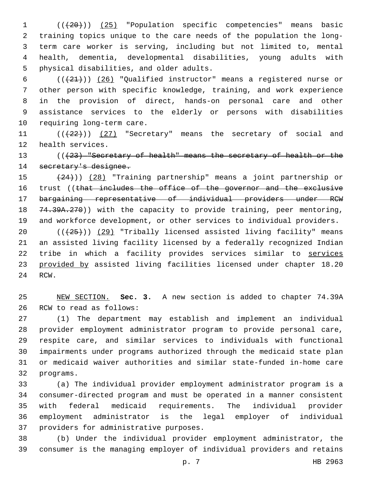(((20))) (25) "Population specific competencies" means basic training topics unique to the care needs of the population the long- term care worker is serving, including but not limited to, mental health, dementia, developmental disabilities, young adults with 5 physical disabilities, and older adults.

 $((+21+))$   $(26)$  "Qualified instructor" means a registered nurse or other person with specific knowledge, training, and work experience in the provision of direct, hands-on personal care and other assistance services to the elderly or persons with disabilities 10 requiring long-term care.

11 (( $(22)$ )) (27) "Secretary" means the secretary of social and 12 health services.

13 (( $(23)$  "Secretary of health" means the secretary of health or the secretary's designee.

 (24))) (28) "Training partnership" means a joint partnership or 16 trust ((that includes the office of the governor and the exclusive bargaining representative of individual providers under RCW 18 74.39A.270)) with the capacity to provide training, peer mentoring, and workforce development, or other services to individual providers.

20 (( $\left(\frac{25}{1}\right)$ ) (29) "Tribally licensed assisted living facility" means an assisted living facility licensed by a federally recognized Indian tribe in which a facility provides services similar to services provided by assisted living facilities licensed under chapter 18.20 24 RCW.

 NEW SECTION. **Sec. 3.** A new section is added to chapter 74.39A 26 RCW to read as follows:

 (1) The department may establish and implement an individual provider employment administrator program to provide personal care, respite care, and similar services to individuals with functional impairments under programs authorized through the medicaid state plan or medicaid waiver authorities and similar state-funded in-home care 32 programs.

 (a) The individual provider employment administrator program is a consumer-directed program and must be operated in a manner consistent with federal medicaid requirements. The individual provider employment administrator is the legal employer of individual 37 providers for administrative purposes.

 (b) Under the individual provider employment administrator, the consumer is the managing employer of individual providers and retains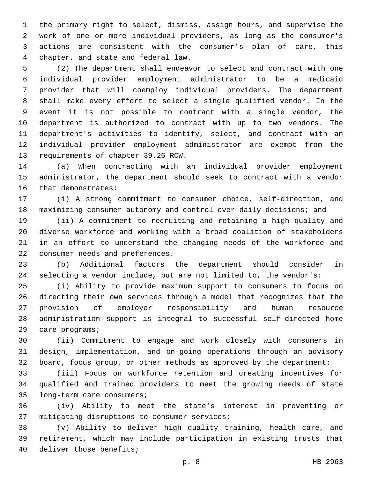the primary right to select, dismiss, assign hours, and supervise the work of one or more individual providers, as long as the consumer's actions are consistent with the consumer's plan of care, this chapter, and state and federal law.

 (2) The department shall endeavor to select and contract with one individual provider employment administrator to be a medicaid provider that will coemploy individual providers. The department shall make every effort to select a single qualified vendor. In the event it is not possible to contract with a single vendor, the department is authorized to contract with up to two vendors. The department's activities to identify, select, and contract with an individual provider employment administrator are exempt from the 13 requirements of chapter 39.26 RCW.

 (a) When contracting with an individual provider employment administrator, the department should seek to contract with a vendor 16 that demonstrates:

 (i) A strong commitment to consumer choice, self-direction, and maximizing consumer autonomy and control over daily decisions; and

 (ii) A commitment to recruiting and retaining a high quality and diverse workforce and working with a broad coalition of stakeholders in an effort to understand the changing needs of the workforce and 22 consumer needs and preferences.

 (b) Additional factors the department should consider in selecting a vendor include, but are not limited to, the vendor's:

 (i) Ability to provide maximum support to consumers to focus on directing their own services through a model that recognizes that the provision of employer responsibility and human resource administration support is integral to successful self-directed home 29 care programs;

 (ii) Commitment to engage and work closely with consumers in design, implementation, and on-going operations through an advisory board, focus group, or other methods as approved by the department;

 (iii) Focus on workforce retention and creating incentives for qualified and trained providers to meet the growing needs of state 35 long-term care consumers;

 (iv) Ability to meet the state's interest in preventing or 37 mitigating disruptions to consumer services;

 (v) Ability to deliver high quality training, health care, and retirement, which may include participation in existing trusts that 40 deliver those benefits;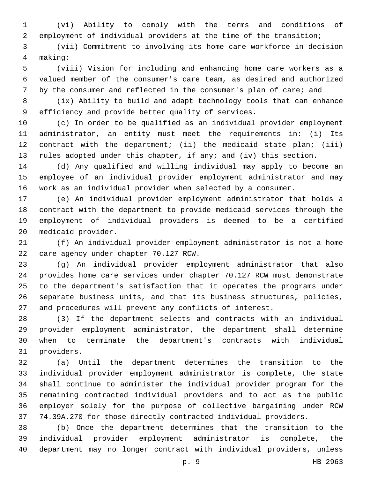(vi) Ability to comply with the terms and conditions of employment of individual providers at the time of the transition;

 (vii) Commitment to involving its home care workforce in decision making;4

 (viii) Vision for including and enhancing home care workers as a valued member of the consumer's care team, as desired and authorized by the consumer and reflected in the consumer's plan of care; and

 (ix) Ability to build and adapt technology tools that can enhance 9 efficiency and provide better quality of services.

 (c) In order to be qualified as an individual provider employment administrator, an entity must meet the requirements in: (i) Its contract with the department; (ii) the medicaid state plan; (iii) rules adopted under this chapter, if any; and (iv) this section.

 (d) Any qualified and willing individual may apply to become an employee of an individual provider employment administrator and may work as an individual provider when selected by a consumer.

 (e) An individual provider employment administrator that holds a contract with the department to provide medicaid services through the employment of individual providers is deemed to be a certified 20 medicaid provider.

 (f) An individual provider employment administrator is not a home 22 care agency under chapter 70.127 RCW.

 (g) An individual provider employment administrator that also provides home care services under chapter 70.127 RCW must demonstrate to the department's satisfaction that it operates the programs under separate business units, and that its business structures, policies, and procedures will prevent any conflicts of interest.

 (3) If the department selects and contracts with an individual provider employment administrator, the department shall determine when to terminate the department's contracts with individual 31 providers.

 (a) Until the department determines the transition to the individual provider employment administrator is complete, the state shall continue to administer the individual provider program for the remaining contracted individual providers and to act as the public employer solely for the purpose of collective bargaining under RCW 74.39A.270 for those directly contracted individual providers.

 (b) Once the department determines that the transition to the individual provider employment administrator is complete, the department may no longer contract with individual providers, unless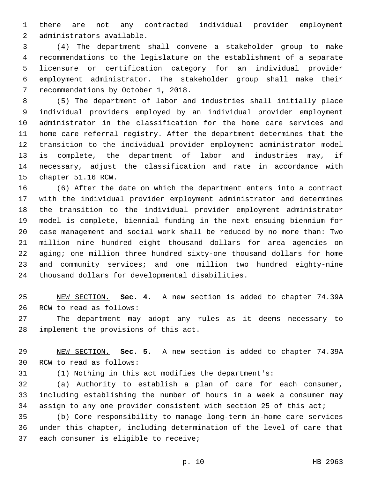there are not any contracted individual provider employment 2 administrators available.

 (4) The department shall convene a stakeholder group to make recommendations to the legislature on the establishment of a separate licensure or certification category for an individual provider employment administrator. The stakeholder group shall make their 7 recommendations by October 1, 2018.

 (5) The department of labor and industries shall initially place individual providers employed by an individual provider employment administrator in the classification for the home care services and home care referral registry. After the department determines that the transition to the individual provider employment administrator model is complete, the department of labor and industries may, if necessary, adjust the classification and rate in accordance with 15 chapter 51.16 RCW.

 (6) After the date on which the department enters into a contract with the individual provider employment administrator and determines the transition to the individual provider employment administrator model is complete, biennial funding in the next ensuing biennium for case management and social work shall be reduced by no more than: Two million nine hundred eight thousand dollars for area agencies on aging; one million three hundred sixty-one thousand dollars for home and community services; and one million two hundred eighty-nine 24 thousand dollars for developmental disabilities.

 NEW SECTION. **Sec. 4.** A new section is added to chapter 74.39A 26 RCW to read as follows:

 The department may adopt any rules as it deems necessary to 28 implement the provisions of this act.

 NEW SECTION. **Sec. 5.** A new section is added to chapter 74.39A 30 RCW to read as follows:

(1) Nothing in this act modifies the department's:

 (a) Authority to establish a plan of care for each consumer, including establishing the number of hours in a week a consumer may assign to any one provider consistent with section 25 of this act;

 (b) Core responsibility to manage long-term in-home care services under this chapter, including determination of the level of care that 37 each consumer is eligible to receive;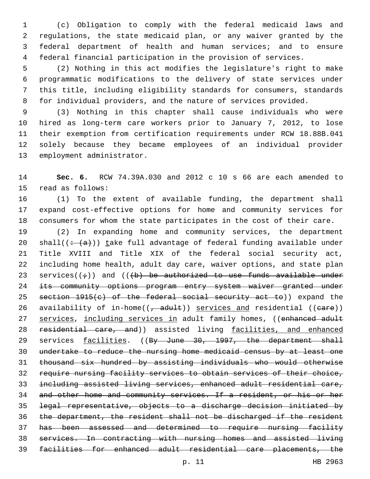(c) Obligation to comply with the federal medicaid laws and regulations, the state medicaid plan, or any waiver granted by the federal department of health and human services; and to ensure federal financial participation in the provision of services.

 (2) Nothing in this act modifies the legislature's right to make programmatic modifications to the delivery of state services under this title, including eligibility standards for consumers, standards for individual providers, and the nature of services provided.

 (3) Nothing in this chapter shall cause individuals who were hired as long-term care workers prior to January 7, 2012, to lose their exemption from certification requirements under RCW 18.88B.041 solely because they became employees of an individual provider 13 employment administrator.

 **Sec. 6.** RCW 74.39A.030 and 2012 c 10 s 66 are each amended to 15 read as follows:

 (1) To the extent of available funding, the department shall expand cost-effective options for home and community services for consumers for whom the state participates in the cost of their care.

 (2) In expanding home and community services, the department 20 shall( $\left(\div(a)\right)$ ) take full advantage of federal funding available under Title XVIII and Title XIX of the federal social security act, including home health, adult day care, waiver options, and state plan 23 services( $(\div)$ ) and ( $(\div)$  be authorized to use funds available under 24 its community options program entry system waiver granted under 25 section 1915(c) of the federal social security act to)) expand the 26 availability of in-home( $(-$ adult)) services and residential ((eare)) 27 services, including services in adult family homes, ((enhanced adult 28 residential care, and)) assisted living facilities, and enhanced 29 services facilities. ((By June 30, 1997, the department shall undertake to reduce the nursing home medicaid census by at least one thousand six hundred by assisting individuals who would otherwise require nursing facility services to obtain services of their choice, including assisted living services, enhanced adult residential care, and other home and community services. If a resident, or his or her legal representative, objects to a discharge decision initiated by the department, the resident shall not be discharged if the resident has been assessed and determined to require nursing facility services. In contracting with nursing homes and assisted living facilities for enhanced adult residential care placements, the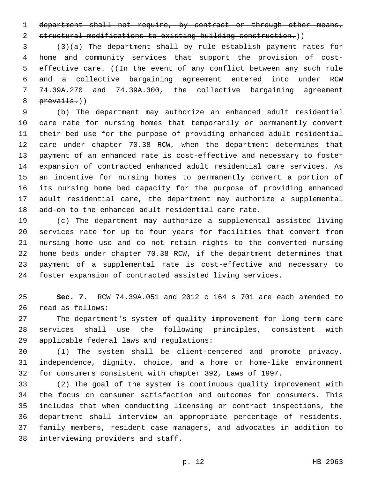1 department shall not require, by contract or through other means,

structural modifications to existing building construction.))

 (3)(a) The department shall by rule establish payment rates for home and community services that support the provision of cost-5 effective care. ((In the event of any conflict between any such rule and a collective bargaining agreement entered into under RCW 74.39A.270 and 74.39A.300, the collective bargaining agreement prevails.))

 (b) The department may authorize an enhanced adult residential care rate for nursing homes that temporarily or permanently convert their bed use for the purpose of providing enhanced adult residential care under chapter 70.38 RCW, when the department determines that payment of an enhanced rate is cost-effective and necessary to foster expansion of contracted enhanced adult residential care services. As an incentive for nursing homes to permanently convert a portion of its nursing home bed capacity for the purpose of providing enhanced adult residential care, the department may authorize a supplemental add-on to the enhanced adult residential care rate.

 (c) The department may authorize a supplemental assisted living services rate for up to four years for facilities that convert from nursing home use and do not retain rights to the converted nursing home beds under chapter 70.38 RCW, if the department determines that payment of a supplemental rate is cost-effective and necessary to foster expansion of contracted assisted living services.

 **Sec. 7.** RCW 74.39A.051 and 2012 c 164 s 701 are each amended to 26 read as follows:

 The department's system of quality improvement for long-term care services shall use the following principles, consistent with 29 applicable federal laws and regulations:

 (1) The system shall be client-centered and promote privacy, independence, dignity, choice, and a home or home-like environment for consumers consistent with chapter 392, Laws of 1997.

 (2) The goal of the system is continuous quality improvement with the focus on consumer satisfaction and outcomes for consumers. This includes that when conducting licensing or contract inspections, the department shall interview an appropriate percentage of residents, family members, resident case managers, and advocates in addition to 38 interviewing providers and staff.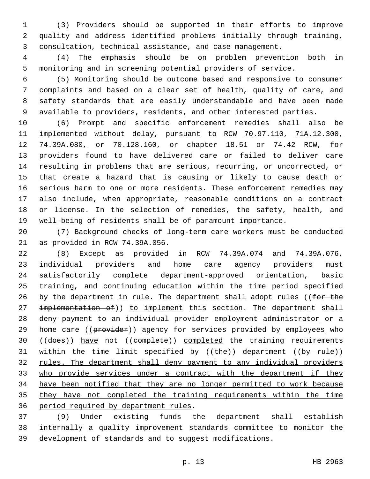(3) Providers should be supported in their efforts to improve quality and address identified problems initially through training, consultation, technical assistance, and case management.

 (4) The emphasis should be on problem prevention both in monitoring and in screening potential providers of service.

 (5) Monitoring should be outcome based and responsive to consumer complaints and based on a clear set of health, quality of care, and safety standards that are easily understandable and have been made available to providers, residents, and other interested parties.

 (6) Prompt and specific enforcement remedies shall also be implemented without delay, pursuant to RCW 70.97.110, 71A.12.300, 74.39A.080, or 70.128.160, or chapter 18.51 or 74.42 RCW, for providers found to have delivered care or failed to deliver care resulting in problems that are serious, recurring, or uncorrected, or that create a hazard that is causing or likely to cause death or serious harm to one or more residents. These enforcement remedies may also include, when appropriate, reasonable conditions on a contract or license. In the selection of remedies, the safety, health, and well-being of residents shall be of paramount importance.

 (7) Background checks of long-term care workers must be conducted 21 as provided in RCW 74.39A.056.

 (8) Except as provided in RCW 74.39A.074 and 74.39A.076, individual providers and home care agency providers must satisfactorily complete department-approved orientation, basic training, and continuing education within the time period specified 26 by the department in rule. The department shall adopt rules ((for the 27 implementation of)) to implement this section. The department shall deny payment to an individual provider employment administrator or a 29 home care ((provider)) agency for services provided by employees who 30 ((does)) have not ((complete)) completed the training requirements 31 within the time limit specified by  $((the + b)$  department  $((by - rule))$  rules. The department shall deny payment to any individual providers who provide services under a contract with the department if they have been notified that they are no longer permitted to work because they have not completed the training requirements within the time 36 period required by department rules.

 (9) Under existing funds the department shall establish internally a quality improvement standards committee to monitor the development of standards and to suggest modifications.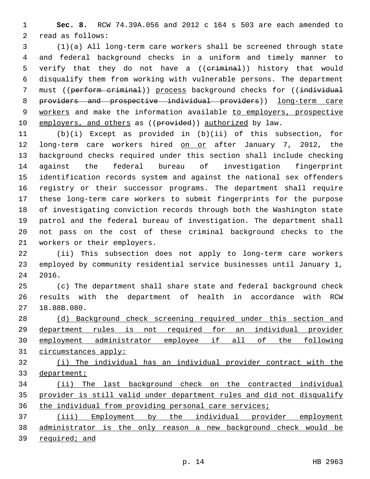**Sec. 8.** RCW 74.39A.056 and 2012 c 164 s 503 are each amended to 2 read as follows:

 (1)(a) All long-term care workers shall be screened through state and federal background checks in a uniform and timely manner to 5 verify that they do not have a ((eriminal)) history that would disqualify them from working with vulnerable persons. The department 7 must ((perform criminal)) process background checks for ((individual providers and prospective individual providers)) long-term care 9 workers and make the information available to employers, prospective 10 employers, and others as ((provided)) authorized by law.

 (b)(i) Except as provided in (b)(ii) of this subsection, for 12 long-term care workers hired on or after January 7, 2012, the background checks required under this section shall include checking against the federal bureau of investigation fingerprint identification records system and against the national sex offenders registry or their successor programs. The department shall require these long-term care workers to submit fingerprints for the purpose of investigating conviction records through both the Washington state patrol and the federal bureau of investigation. The department shall not pass on the cost of these criminal background checks to the 21 workers or their employers.

 (ii) This subsection does not apply to long-term care workers employed by community residential service businesses until January 1, 2016.

 (c) The department shall share state and federal background check results with the department of health in accordance with RCW 27 18.88B.080.

 (d) Background check screening required under this section and department rules is not required for an individual provider employment administrator employee if all of the following circumstances apply:

 (i) The individual has an individual provider contract with the department;

 (ii) The last background check on the contracted individual provider is still valid under department rules and did not disqualify 36 the individual from providing personal care services;

 (iii) Employment by the individual provider employment 38 administrator is the only reason a new background check would be required; and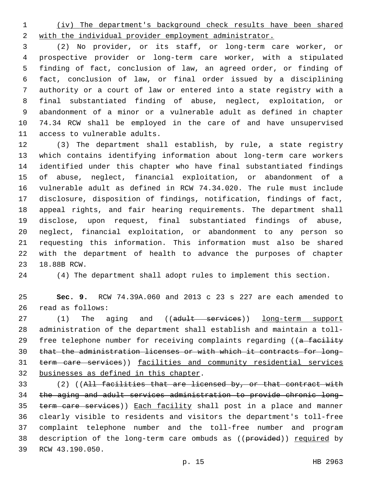(iv) The department's background check results have been shared with the individual provider employment administrator.

 (2) No provider, or its staff, or long-term care worker, or prospective provider or long-term care worker, with a stipulated finding of fact, conclusion of law, an agreed order, or finding of fact, conclusion of law, or final order issued by a disciplining authority or a court of law or entered into a state registry with a final substantiated finding of abuse, neglect, exploitation, or abandonment of a minor or a vulnerable adult as defined in chapter 74.34 RCW shall be employed in the care of and have unsupervised 11 access to vulnerable adults.

 (3) The department shall establish, by rule, a state registry which contains identifying information about long-term care workers identified under this chapter who have final substantiated findings of abuse, neglect, financial exploitation, or abandonment of a vulnerable adult as defined in RCW 74.34.020. The rule must include disclosure, disposition of findings, notification, findings of fact, appeal rights, and fair hearing requirements. The department shall disclose, upon request, final substantiated findings of abuse, neglect, financial exploitation, or abandonment to any person so requesting this information. This information must also be shared with the department of health to advance the purposes of chapter 23 18.88B RCW.

(4) The department shall adopt rules to implement this section.

 **Sec. 9.** RCW 74.39A.060 and 2013 c 23 s 227 are each amended to read as follows:26

27 (1) The aging and ((adult services)) long-term support administration of the department shall establish and maintain a toll-29 free telephone number for receiving complaints regarding ((a facility that the administration licenses or with which it contracts for long- term care services)) facilities and community residential services 32 businesses as defined in this chapter.

 (2) ((All facilities that are licensed by, or that contract with the aging and adult services administration to provide chronic long-35 term care services)) Each facility shall post in a place and manner clearly visible to residents and visitors the department's toll-free complaint telephone number and the toll-free number and program 38 description of the long-term care ombuds as ((provided)) required by 39 RCW 43.190.050.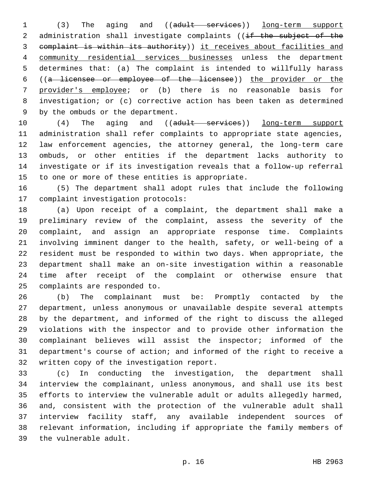(3) The aging and ((adult services)) long-term support 2 administration shall investigate complaints ((if the subject of the complaint is within its authority)) it receives about facilities and community residential services businesses unless the department determines that: (a) The complaint is intended to willfully harass ((a licensee or employee of the licensee)) the provider or the provider's employee; or (b) there is no reasonable basis for investigation; or (c) corrective action has been taken as determined 9 by the ombuds or the department.

10 (4) The aging and ((adult services)) long-term support administration shall refer complaints to appropriate state agencies, law enforcement agencies, the attorney general, the long-term care ombuds, or other entities if the department lacks authority to investigate or if its investigation reveals that a follow-up referral 15 to one or more of these entities is appropriate.

 (5) The department shall adopt rules that include the following 17 complaint investigation protocols:

 (a) Upon receipt of a complaint, the department shall make a preliminary review of the complaint, assess the severity of the complaint, and assign an appropriate response time. Complaints involving imminent danger to the health, safety, or well-being of a resident must be responded to within two days. When appropriate, the department shall make an on-site investigation within a reasonable time after receipt of the complaint or otherwise ensure that 25 complaints are responded to.

 (b) The complainant must be: Promptly contacted by the department, unless anonymous or unavailable despite several attempts by the department, and informed of the right to discuss the alleged violations with the inspector and to provide other information the complainant believes will assist the inspector; informed of the department's course of action; and informed of the right to receive a 32 written copy of the investigation report.

 (c) In conducting the investigation, the department shall interview the complainant, unless anonymous, and shall use its best efforts to interview the vulnerable adult or adults allegedly harmed, and, consistent with the protection of the vulnerable adult shall interview facility staff, any available independent sources of relevant information, including if appropriate the family members of 39 the vulnerable adult.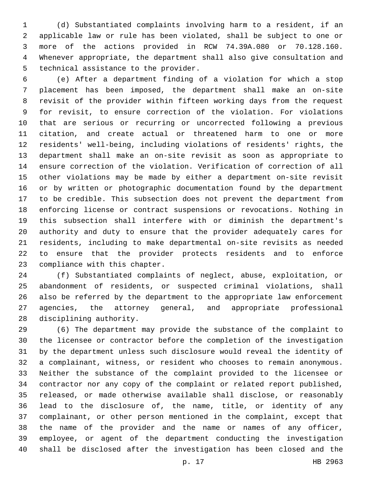(d) Substantiated complaints involving harm to a resident, if an applicable law or rule has been violated, shall be subject to one or more of the actions provided in RCW 74.39A.080 or 70.128.160. Whenever appropriate, the department shall also give consultation and 5 technical assistance to the provider.

 (e) After a department finding of a violation for which a stop placement has been imposed, the department shall make an on-site revisit of the provider within fifteen working days from the request for revisit, to ensure correction of the violation. For violations that are serious or recurring or uncorrected following a previous citation, and create actual or threatened harm to one or more residents' well-being, including violations of residents' rights, the department shall make an on-site revisit as soon as appropriate to ensure correction of the violation. Verification of correction of all other violations may be made by either a department on-site revisit or by written or photographic documentation found by the department to be credible. This subsection does not prevent the department from enforcing license or contract suspensions or revocations. Nothing in this subsection shall interfere with or diminish the department's authority and duty to ensure that the provider adequately cares for residents, including to make departmental on-site revisits as needed to ensure that the provider protects residents and to enforce 23 compliance with this chapter.

 (f) Substantiated complaints of neglect, abuse, exploitation, or abandonment of residents, or suspected criminal violations, shall also be referred by the department to the appropriate law enforcement agencies, the attorney general, and appropriate professional 28 disciplining authority.

 (6) The department may provide the substance of the complaint to the licensee or contractor before the completion of the investigation by the department unless such disclosure would reveal the identity of a complainant, witness, or resident who chooses to remain anonymous. Neither the substance of the complaint provided to the licensee or contractor nor any copy of the complaint or related report published, released, or made otherwise available shall disclose, or reasonably lead to the disclosure of, the name, title, or identity of any complainant, or other person mentioned in the complaint, except that the name of the provider and the name or names of any officer, employee, or agent of the department conducting the investigation shall be disclosed after the investigation has been closed and the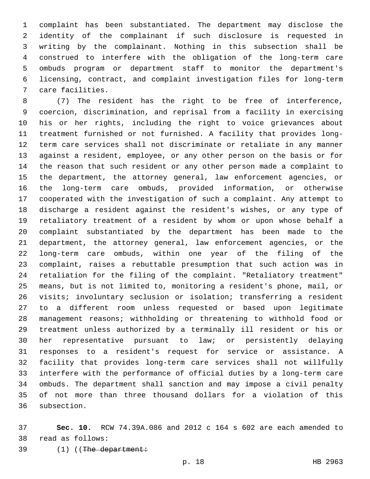complaint has been substantiated. The department may disclose the identity of the complainant if such disclosure is requested in writing by the complainant. Nothing in this subsection shall be construed to interfere with the obligation of the long-term care ombuds program or department staff to monitor the department's licensing, contract, and complaint investigation files for long-term 7 care facilities.

 (7) The resident has the right to be free of interference, coercion, discrimination, and reprisal from a facility in exercising his or her rights, including the right to voice grievances about treatment furnished or not furnished. A facility that provides long- term care services shall not discriminate or retaliate in any manner against a resident, employee, or any other person on the basis or for the reason that such resident or any other person made a complaint to the department, the attorney general, law enforcement agencies, or the long-term care ombuds, provided information, or otherwise cooperated with the investigation of such a complaint. Any attempt to discharge a resident against the resident's wishes, or any type of retaliatory treatment of a resident by whom or upon whose behalf a complaint substantiated by the department has been made to the department, the attorney general, law enforcement agencies, or the long-term care ombuds, within one year of the filing of the complaint, raises a rebuttable presumption that such action was in retaliation for the filing of the complaint. "Retaliatory treatment" means, but is not limited to, monitoring a resident's phone, mail, or visits; involuntary seclusion or isolation; transferring a resident to a different room unless requested or based upon legitimate management reasons; withholding or threatening to withhold food or treatment unless authorized by a terminally ill resident or his or her representative pursuant to law; or persistently delaying responses to a resident's request for service or assistance. A facility that provides long-term care services shall not willfully interfere with the performance of official duties by a long-term care ombuds. The department shall sanction and may impose a civil penalty of not more than three thousand dollars for a violation of this 36 subsection.

 **Sec. 10.** RCW 74.39A.086 and 2012 c 164 s 602 are each amended to 38 read as follows:

39 (1) ((The department: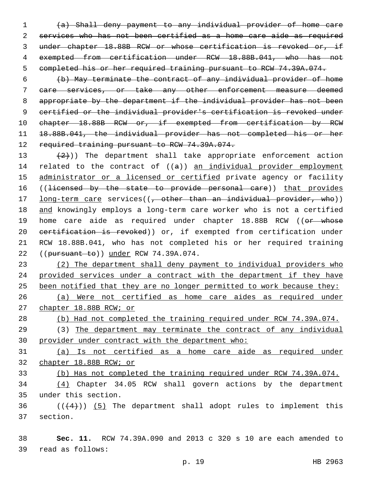(a) Shall deny payment to any individual provider of home care services who has not been certified as a home care aide as required under chapter 18.88B RCW or whose certification is revoked or, if exempted from certification under RCW 18.88B.041, who has not completed his or her required training pursuant to RCW 74.39A.074.

 (b) May terminate the contract of any individual provider of home care services, or take any other enforcement measure deemed appropriate by the department if the individual provider has not been certified or the individual provider's certification is revoked under 10 chapter 18.88B RCW or, if exempted from certification by RCW 18.88B.041, the individual provider has not completed his or her 12 required training pursuant to RCW 74.39A.074.

13  $(2)$ )) The department shall take appropriate enforcement action 14 related to the contract of  $((a))$  an individual provider employment 15 administrator or a licensed or certified private agency or facility 16 ((licensed by the state to provide personal care)) that provides 17 long-term care services((, other than an individual provider, who)) 18 and knowingly employs a long-term care worker who is not a certified 19 home care aide as required under chapter 18.88B RCW ((or whose 20 eertification is revoked)) or, if exempted from certification under 21 RCW 18.88B.041, who has not completed his or her required training 22 ((pursuant to)) under RCW 74.39A.074.

 (2) The department shall deny payment to individual providers who provided services under a contract with the department if they have 25 been notified that they are no longer permitted to work because they: (a) Were not certified as home care aides as required under

27 chapter 18.88B RCW; or

28 (b) Had not completed the training required under RCW 74.39A.074.

29 (3) The department may terminate the contract of any individual 30 provider under contract with the department who:

31 (a) Is not certified as a home care aide as required under 32 chapter 18.88B RCW; or

33 (b) Has not completed the training required under RCW 74.39A.074.

34 (4) Chapter 34.05 RCW shall govern actions by the department under this section.35

 $36$  ( $(44)$ )) (5) The department shall adopt rules to implement this 37 section.

38 **Sec. 11.** RCW 74.39A.090 and 2013 c 320 s 10 are each amended to read as follows:39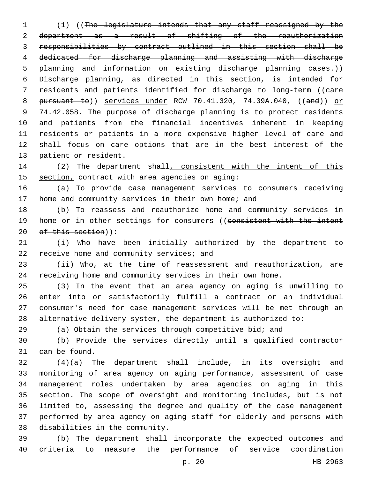(1) ((The legislature intends that any staff reassigned by the department as a result of shifting of the reauthorization responsibilities by contract outlined in this section shall be dedicated for discharge planning and assisting with discharge planning and information on existing discharge planning cases.)) Discharge planning, as directed in this section, is intended for 7 residents and patients identified for discharge to long-term ((eare 8 pursuant to)) services under RCW 70.41.320, 74.39A.040, ((and)) or 74.42.058. The purpose of discharge planning is to protect residents and patients from the financial incentives inherent in keeping residents or patients in a more expensive higher level of care and shall focus on care options that are in the best interest of the 13 patient or resident.

14 (2) The department shall, consistent with the intent of this 15 section, contract with area agencies on aging:

 (a) To provide case management services to consumers receiving 17 home and community services in their own home; and

 (b) To reassess and reauthorize home and community services in 19 home or in other settings for consumers ((consistent with the intent 20 of this section)):

 (i) Who have been initially authorized by the department to 22 receive home and community services; and

 (ii) Who, at the time of reassessment and reauthorization, are receiving home and community services in their own home.

 (3) In the event that an area agency on aging is unwilling to enter into or satisfactorily fulfill a contract or an individual consumer's need for case management services will be met through an alternative delivery system, the department is authorized to:

(a) Obtain the services through competitive bid; and

 (b) Provide the services directly until a qualified contractor 31 can be found.

 (4)(a) The department shall include, in its oversight and monitoring of area agency on aging performance, assessment of case management roles undertaken by area agencies on aging in this section. The scope of oversight and monitoring includes, but is not limited to, assessing the degree and quality of the case management performed by area agency on aging staff for elderly and persons with 38 disabilities in the community.

 (b) The department shall incorporate the expected outcomes and criteria to measure the performance of service coordination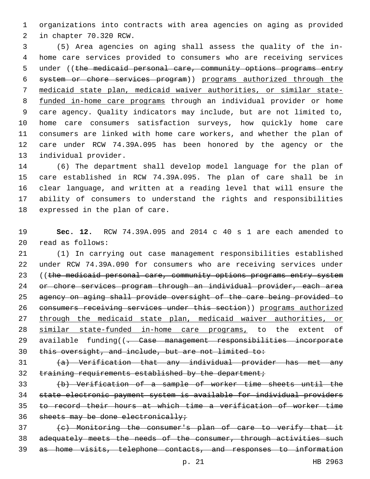organizations into contracts with area agencies on aging as provided 2 in chapter 70.320 RCW.

 (5) Area agencies on aging shall assess the quality of the in- home care services provided to consumers who are receiving services 5 under ((the medicaid personal care, community options programs entry system or chore services program)) programs authorized through the medicaid state plan, medicaid waiver authorities, or similar state- funded in-home care programs through an individual provider or home care agency. Quality indicators may include, but are not limited to, home care consumers satisfaction surveys, how quickly home care consumers are linked with home care workers, and whether the plan of care under RCW 74.39A.095 has been honored by the agency or the 13 individual provider.

 (6) The department shall develop model language for the plan of care established in RCW 74.39A.095. The plan of care shall be in clear language, and written at a reading level that will ensure the ability of consumers to understand the rights and responsibilities 18 expressed in the plan of care.

 **Sec. 12.** RCW 74.39A.095 and 2014 c 40 s 1 are each amended to read as follows:20

 (1) In carrying out case management responsibilities established under RCW 74.39A.090 for consumers who are receiving services under 23 ((the medicaid personal care, community options programs entry system or chore services program through an individual provider, each area agency on aging shall provide oversight of the care being provided to consumers receiving services under this section)) programs authorized through the medicaid state plan, medicaid waiver authorities, or 28 similar state-funded in-home care programs, to the extent of 29 available funding((<del>. Case management responsibilities incorporate</del> this oversight, and include, but are not limited to:

 (a) Verification that any individual provider has met any 32 training requirements established by the department;

 (b) Verification of a sample of worker time sheets until the state electronic payment system is available for individual providers to record their hours at which time a verification of worker time 36 sheets may be done electronically;

 (c) Monitoring the consumer's plan of care to verify that it 38 adequately meets the needs of the consumer, through activities such as home visits, telephone contacts, and responses to information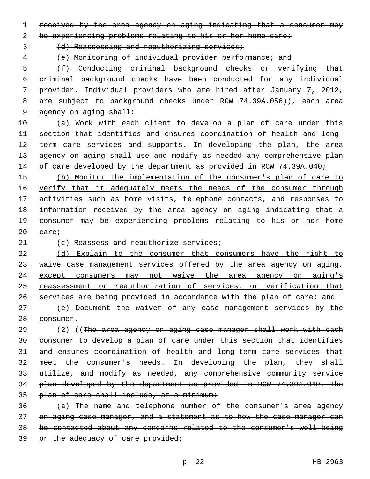received by the area agency on aging indicating that a consumer may

be experiencing problems relating to his or her home care;

3 (d) Reassessing and reauthorizing services;

(e) Monitoring of individual provider performance; and

 (f) Conducting criminal background checks or verifying that criminal background checks have been conducted for any individual provider. Individual providers who are hired after January 7, 2012, 8 are subject to background checks under RCW 74.39A.056)), each area agency on aging shall:

 (a) Work with each client to develop a plan of care under this section that identifies and ensures coordination of health and long-12 term care services and supports. In developing the plan, the area 13 agency on aging shall use and modify as needed any comprehensive plan 14 of care developed by the department as provided in RCW 74.39A.040;

15 (b) Monitor the implementation of the consumer's plan of care to 16 verify that it adequately meets the needs of the consumer through activities such as home visits, telephone contacts, and responses to information received by the area agency on aging indicating that a consumer may be experiencing problems relating to his or her home care;

21 (c) Reassess and reauthorize services;

 (d) Explain to the consumer that consumers have the right to waive case management services offered by the area agency on aging, except consumers may not waive the area agency on aging's reassessment or reauthorization of services, or verification that services are being provided in accordance with the plan of care; and

 (e) Document the waiver of any case management services by the 28 consumer.

29 (2) ((The area agency on aging case manager shall work with each consumer to develop a plan of care under this section that identifies and ensures coordination of health and long-term care services that meet the consumer's needs. In developing the plan, they shall utilize, and modify as needed, any comprehensive community service plan developed by the department as provided in RCW 74.39A.040. The plan of care shall include, at a minimum:

 (a) The name and telephone number of the consumer's area agency on aging case manager, and a statement as to how the case manager can be contacted about any concerns related to the consumer's well-being 39 or the adequacy of care provided;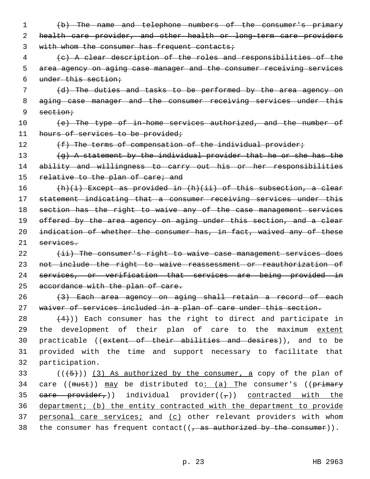- 1 (b) The name and telephone numbers of the consumer's primary 2 health care provider, and other health or long-term care providers 3 with whom the consumer has frequent contacts;
- 4 (c) A clear description of the roles and responsibilities of the 5 area agency on aging case manager and the consumer receiving services 6 under this section;
- 7 (d) The duties and tasks to be performed by the area agency on 8 aging case manager and the consumer receiving services under this 9 section;
- 10 (e) The type of in-home services authorized, and the number of 11 hours of services to be provided;
- 

12 (f) The terms of compensation of the individual provider;

13 (g) A statement by the individual provider that he or she has the 14 ability and willingness to carry out his or her responsibilities 15 relative to the plan of care; and

 (h)(i) Except as provided in (h)(ii) of this subsection, a clear statement indicating that a consumer receiving services under this section has the right to waive any of the case management services 19 offered by the area agency on aging under this section, and a clear 20 indication of whether the consumer has, in fact, waived any of these services.

22 (ii) The consumer's right to waive case management services does 23 not include the right to waive reassessment or reauthorization of 24 services, or verification that services are being provided in 25 accordance with the plan of care.

26 (3) Each area agency on aging shall retain a record of each 27 waiver of services included in a plan of care under this section.

28  $(4)$ )) Each consumer has the right to direct and participate in 29 the development of their plan of care to the maximum extent 30 practicable ((extent of their abilities and desires)), and to be 31 provided with the time and support necessary to facilitate that 32 participation.

 $(1+5+1)$  (3) As authorized by the consumer, a copy of the plan of 34 care (( $must$ ))  $may$  be distributed to: (a) The consumer's (( $primery$ 35 eare provider,)) individual provider( $(\tau)$ ) contracted with the 36 department; (b) the entity contracted with the department to provide 37 personal care services; and (c) other relevant providers with whom 38 the consumer has frequent contact( $(\tau$  as authorized by the consumer)).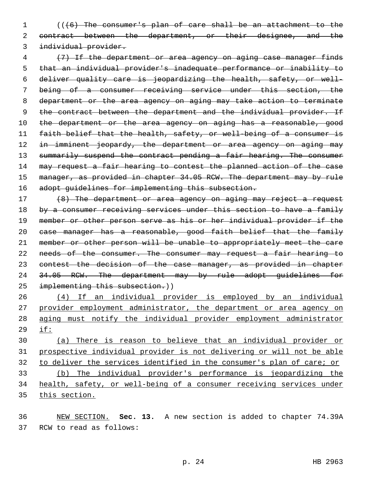(((6) The consumer's plan of care shall be an attachment to the 2 contract between the department, or their designee, and the individual provider.

 (7) If the department or area agency on aging case manager finds that an individual provider's inadequate performance or inability to deliver quality care is jeopardizing the health, safety, or well- being of a consumer receiving service under this section, the department or the area agency on aging may take action to terminate 9 the contract between the department and the individual provider. If 10 the department or the area agency on aging has a reasonable, good faith belief that the health, safety, or well-being of a consumer is 12 in imminent jeopardy, the department or area agency on aging may 13 summarily suspend the contract pending a fair hearing. The consumer 14 may request a fair hearing to contest the planned action of the case 15 manager, as provided in chapter 34.05 RCW. The department may by rule 16 adopt guidelines for implementing this subsection.

 (8) The department or area agency on aging may reject a request 18 by a consumer receiving services under this section to have a family member or other person serve as his or her individual provider if the case manager has a reasonable, good faith belief that the family member or other person will be unable to appropriately meet the care 22 needs of the consumer. The consumer may request a fair hearing to 23 contest the decision of the case manager, as provided in chapter 24 34.05 RCW. The department may by rule adopt guidelines for 25 implementing this subsection.))

 (4) If an individual provider is employed by an individual provider employment administrator, the department or area agency on aging must notify the individual provider employment administrator if:

 (a) There is reason to believe that an individual provider or prospective individual provider is not delivering or will not be able to deliver the services identified in the consumer's plan of care; or (b) The individual provider's performance is jeopardizing the health, safety, or well-being of a consumer receiving services under this section.

 NEW SECTION. **Sec. 13.** A new section is added to chapter 74.39A 37 RCW to read as follows: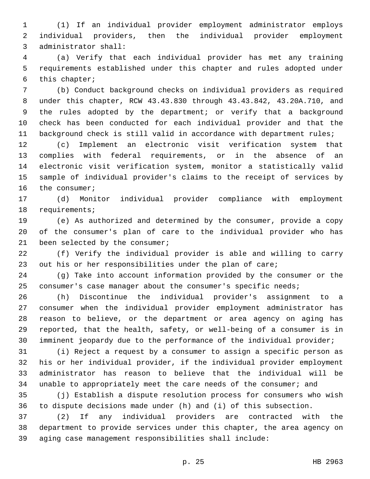(1) If an individual provider employment administrator employs individual providers, then the individual provider employment 3 administrator shall:

 (a) Verify that each individual provider has met any training requirements established under this chapter and rules adopted under 6 this chapter;

 (b) Conduct background checks on individual providers as required under this chapter, RCW 43.43.830 through 43.43.842, 43.20A.710, and the rules adopted by the department; or verify that a background check has been conducted for each individual provider and that the 11 background check is still valid in accordance with department rules;

 (c) Implement an electronic visit verification system that complies with federal requirements, or in the absence of an electronic visit verification system, monitor a statistically valid sample of individual provider's claims to the receipt of services by 16 the consumer;

 (d) Monitor individual provider compliance with employment 18 requirements;

 (e) As authorized and determined by the consumer, provide a copy of the consumer's plan of care to the individual provider who has 21 been selected by the consumer;

 (f) Verify the individual provider is able and willing to carry out his or her responsibilities under the plan of care;

 (g) Take into account information provided by the consumer or the consumer's case manager about the consumer's specific needs;

 (h) Discontinue the individual provider's assignment to a consumer when the individual provider employment administrator has reason to believe, or the department or area agency on aging has reported, that the health, safety, or well-being of a consumer is in imminent jeopardy due to the performance of the individual provider;

 (i) Reject a request by a consumer to assign a specific person as his or her individual provider, if the individual provider employment administrator has reason to believe that the individual will be unable to appropriately meet the care needs of the consumer; and

 (j) Establish a dispute resolution process for consumers who wish to dispute decisions made under (h) and (i) of this subsection.

 (2) If any individual providers are contracted with the department to provide services under this chapter, the area agency on aging case management responsibilities shall include: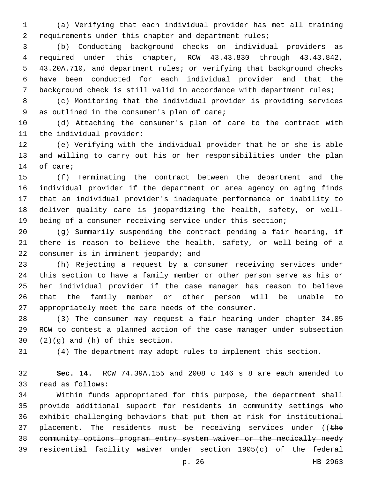(a) Verifying that each individual provider has met all training requirements under this chapter and department rules;

 (b) Conducting background checks on individual providers as required under this chapter, RCW 43.43.830 through 43.43.842, 43.20A.710, and department rules; or verifying that background checks have been conducted for each individual provider and that the background check is still valid in accordance with department rules;

 (c) Monitoring that the individual provider is providing services 9 as outlined in the consumer's plan of care;

 (d) Attaching the consumer's plan of care to the contract with 11 the individual provider;

 (e) Verifying with the individual provider that he or she is able and willing to carry out his or her responsibilities under the plan 14 of care;

 (f) Terminating the contract between the department and the individual provider if the department or area agency on aging finds that an individual provider's inadequate performance or inability to deliver quality care is jeopardizing the health, safety, or well-being of a consumer receiving service under this section;

 (g) Summarily suspending the contract pending a fair hearing, if there is reason to believe the health, safety, or well-being of a 22 consumer is in imminent jeopardy; and

 (h) Rejecting a request by a consumer receiving services under this section to have a family member or other person serve as his or her individual provider if the case manager has reason to believe that the family member or other person will be unable to appropriately meet the care needs of the consumer.

 (3) The consumer may request a fair hearing under chapter 34.05 RCW to contest a planned action of the case manager under subsection  $(2)(g)$  and  $(h)$  of this section.

(4) The department may adopt rules to implement this section.

 **Sec. 14.** RCW 74.39A.155 and 2008 c 146 s 8 are each amended to 33 read as follows:

 Within funds appropriated for this purpose, the department shall provide additional support for residents in community settings who exhibit challenging behaviors that put them at risk for institutional 37 placement. The residents must be receiving services under (( $t$ he community options program entry system waiver or the medically needy residential facility waiver under section 1905(c) of the federal

p. 26 HB 2963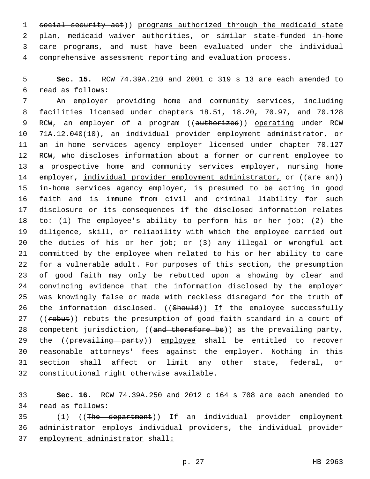1 social security act)) programs authorized through the medicaid state plan, medicaid waiver authorities, or similar state-funded in-home 3 care programs, and must have been evaluated under the individual comprehensive assessment reporting and evaluation process.

 **Sec. 15.** RCW 74.39A.210 and 2001 c 319 s 13 are each amended to read as follows:6

 An employer providing home and community services, including facilities licensed under chapters 18.51, 18.20, 70.97, and 70.128 9 RCW, an employer of a program ((authorized)) operating under RCW 71A.12.040(10), an individual provider employment administrator, or an in-home services agency employer licensed under chapter 70.127 RCW, who discloses information about a former or current employee to a prospective home and community services employer, nursing home 14 employer, individual provider employment administrator, or ((are an)) in-home services agency employer, is presumed to be acting in good faith and is immune from civil and criminal liability for such disclosure or its consequences if the disclosed information relates to: (1) The employee's ability to perform his or her job; (2) the diligence, skill, or reliability with which the employee carried out the duties of his or her job; or (3) any illegal or wrongful act committed by the employee when related to his or her ability to care for a vulnerable adult. For purposes of this section, the presumption of good faith may only be rebutted upon a showing by clear and convincing evidence that the information disclosed by the employer was knowingly false or made with reckless disregard for the truth of 26 the information disclosed. ((Should)) If the employee successfully 27 ((rebut)) rebuts the presumption of good faith standard in a court of 28 competent jurisdiction, ((and therefore be)) as the prevailing party, 29 the ((prevailing party)) employee shall be entitled to recover reasonable attorneys' fees against the employer. Nothing in this section shall affect or limit any other state, federal, or 32 constitutional right otherwise available.

 **Sec. 16.** RCW 74.39A.250 and 2012 c 164 s 708 are each amended to 34 read as follows:

 (1) ((The department)) If an individual provider employment administrator employs individual providers, the individual provider employment administrator shall: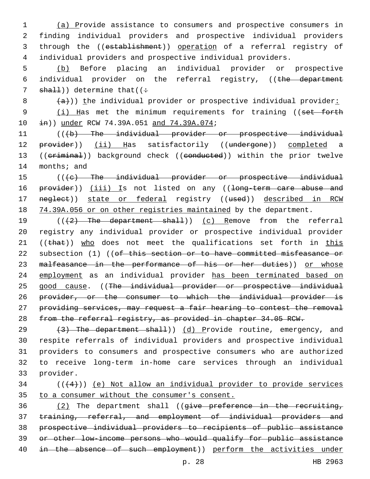(a) Provide assistance to consumers and prospective consumers in finding individual providers and prospective individual providers through the ((establishment)) operation of a referral registry of individual providers and prospective individual providers.

5 (b) Before placing an individual provider or prospective 6 individual provider on the referral registry, ((the department 7  $shall)$ ) determine that((:

 $8$   $\left( \frac{a}{a} \right)$ )) the individual provider or prospective individual provider:

9 (i) Has met the minimum requirements for training ((set forth 10  $\pm$ n)) under RCW 74.39A.051 and 74.39A.074;

11 (((b) The individual provider or prospective individual 12 provider)) (ii) Has satisfactorily ((undergone)) completed a 13 ((criminal)) background check ((conducted)) within the prior twelve 14 months; and

15 (((e) The individual provider or prospective individual 16 provider)) (iii) Is not listed on any ((long-term care abuse and 17 neglect)) state or federal registry ((used)) described in RCW 18 74.39A.056 or on other registries maintained by the department.

19 (((2) The department shall)) (c) Remove from the referral 20 registry any individual provider or prospective individual provider 21 ( $(\text{that})$ ) who does not meet the qualifications set forth in this 22 subsection (1) ((of this section or to have committed misfeasance or 23 malfeasance in the performance of his or her duties)) or whose 24 employment as an individual provider has been terminated based on 25 good cause. ((The individual provider or prospective individual 26 provider, or the consumer to which the individual provider is 27 providing services, may request a fair hearing to contest the removal 28 from the referral registry, as provided in chapter 34.05 RCW.

 $(3)$  The department shall)) (d) Provide routine, emergency, and respite referrals of individual providers and prospective individual providers to consumers and prospective consumers who are authorized to receive long-term in-home care services through an individual 33 provider.

## $34$  ( $(44)$ )) <u>(e) Not allow an individual provider to provide</u> services 35 to a consumer without the consumer's consent.

 (2) The department shall ((give preference in the recruiting, training, referral, and employment of individual providers and prospective individual providers to recipients of public assistance or other low-income persons who would qualify for public assistance 40 in the absence of such employment)) perform the activities under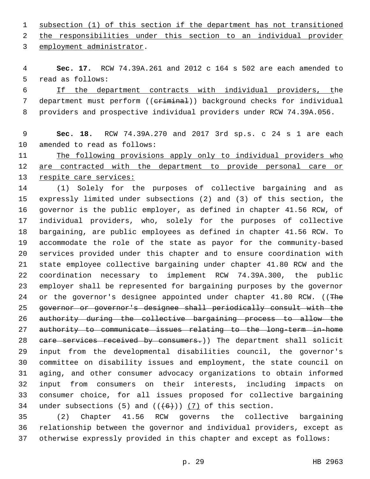subsection (1) of this section if the department has not transitioned 2 the responsibilities under this section to an individual provider

3 employment administrator.

 **Sec. 17.** RCW 74.39A.261 and 2012 c 164 s 502 are each amended to 5 read as follows:

 If the department contracts with individual providers, the 7 department must perform ((criminal)) background checks for individual providers and prospective individual providers under RCW 74.39A.056.

## **Sec. 18.** RCW 74.39A.270 and 2017 3rd sp.s. c 24 s 1 are each 10 amended to read as follows:

 The following provisions apply only to individual providers who 12 are contracted with the department to provide personal care or respite care services:

 (1) Solely for the purposes of collective bargaining and as expressly limited under subsections (2) and (3) of this section, the governor is the public employer, as defined in chapter 41.56 RCW, of individual providers, who, solely for the purposes of collective bargaining, are public employees as defined in chapter 41.56 RCW. To accommodate the role of the state as payor for the community-based services provided under this chapter and to ensure coordination with state employee collective bargaining under chapter 41.80 RCW and the coordination necessary to implement RCW 74.39A.300, the public employer shall be represented for bargaining purposes by the governor 24 or the governor's designee appointed under chapter 41.80 RCW. ((The governor or governor's designee shall periodically consult with the authority during the collective bargaining process to allow the authority to communicate issues relating to the long-term in-home 28 eare services received by consumers.)) The department shall solicit input from the developmental disabilities council, the governor's committee on disability issues and employment, the state council on aging, and other consumer advocacy organizations to obtain informed input from consumers on their interests, including impacts on consumer choice, for all issues proposed for collective bargaining 34 under subsections (5) and  $((+6+))$  (7) of this section.

 (2) Chapter 41.56 RCW governs the collective bargaining relationship between the governor and individual providers, except as otherwise expressly provided in this chapter and except as follows: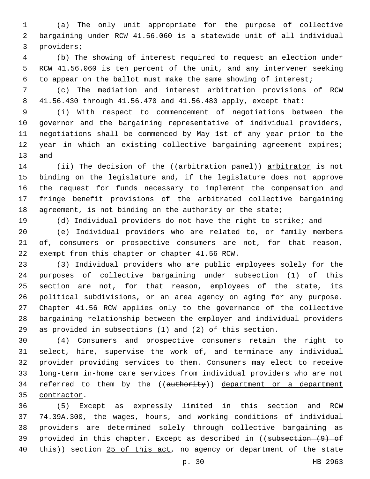(a) The only unit appropriate for the purpose of collective bargaining under RCW 41.56.060 is a statewide unit of all individual 3 providers;

 (b) The showing of interest required to request an election under RCW 41.56.060 is ten percent of the unit, and any intervener seeking to appear on the ballot must make the same showing of interest;

 (c) The mediation and interest arbitration provisions of RCW 41.56.430 through 41.56.470 and 41.56.480 apply, except that:

 (i) With respect to commencement of negotiations between the governor and the bargaining representative of individual providers, negotiations shall be commenced by May 1st of any year prior to the year in which an existing collective bargaining agreement expires; 13 and

14 (ii) The decision of the ((arbitration panel)) arbitrator is not binding on the legislature and, if the legislature does not approve the request for funds necessary to implement the compensation and fringe benefit provisions of the arbitrated collective bargaining 18 agreement, is not binding on the authority or the state;

(d) Individual providers do not have the right to strike; and

 (e) Individual providers who are related to, or family members of, consumers or prospective consumers are not, for that reason, 22 exempt from this chapter or chapter 41.56 RCW.

 (3) Individual providers who are public employees solely for the purposes of collective bargaining under subsection (1) of this section are not, for that reason, employees of the state, its political subdivisions, or an area agency on aging for any purpose. Chapter 41.56 RCW applies only to the governance of the collective bargaining relationship between the employer and individual providers as provided in subsections (1) and (2) of this section.

 (4) Consumers and prospective consumers retain the right to select, hire, supervise the work of, and terminate any individual provider providing services to them. Consumers may elect to receive long-term in-home care services from individual providers who are not 34 referred to them by the ((authority)) department or a department 35 contractor.

 (5) Except as expressly limited in this section and RCW 74.39A.300, the wages, hours, and working conditions of individual providers are determined solely through collective bargaining as 39 provided in this chapter. Except as described in ((subsection (9) of 40 this)) section 25 of this act, no agency or department of the state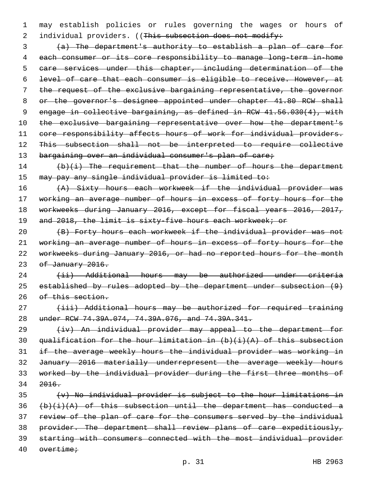1 may establish policies or rules governing the wages or hours of 2 individual providers. ((This subsection does not modify:

 (a) The department's authority to establish a plan of care for each consumer or its core responsibility to manage long-term in-home care services under this chapter, including determination of the level of care that each consumer is eligible to receive. However, at the request of the exclusive bargaining representative, the governor 8 or the governor's designee appointed under chapter 41.80 RCW shall engage in collective bargaining, as defined in RCW 41.56.030(4), with 10 the exclusive bargaining representative over how the department's 11 core responsibility affects hours of work for individual providers. This subsection shall not be interpreted to require collective 13 bargaining over an individual consumer's plan of care;

14 (b)(i) The requirement that the number of hours the department 15 may pay any single individual provider is limited to:

16 (A) Sixty hours each workweek if the individual provider was 17 working an average number of hours in excess of forty hours for the 18 workweeks during January 2016, except for fiscal years 2016, 2017, 19 and 2018, the limit is sixty-five hours each workweek; or

 (B) Forty hours each workweek if the individual provider was not working an average number of hours in excess of forty hours for the workweeks during January 2016, or had no reported hours for the month 23 of January 2016.

24 (ii) Additional hours may be authorized under criteria 25 established by rules adopted by the department under subsection (9) 26 of this section.

27 (iii) Additional hours may be authorized for required training 28 under RCW 74.39A.074, 74.39A.076, and 74.39A.341.

29 (iv) An individual provider may appeal to the department for 30 qualification for the hour limitation in  $(b)$   $(i)$   $(A)$  of this subsection 31 if the average weekly hours the individual provider was working in 32 January 2016 materially underrepresent the average weekly hours 33 worked by the individual provider during the first three months of 34 2016.

 (v) No individual provider is subject to the hour limitations in  $(b)(i)(A)$  of this subsection until the department has conducted a review of the plan of care for the consumers served by the individual 38 provider. The department shall review plans of care expeditiously, starting with consumers connected with the most individual provider overtime;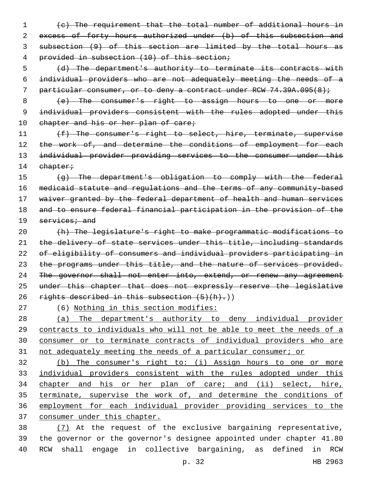(c) The requirement that the total number of additional hours in 2 excess of forty hours authorized under (b) of this subsection and subsection (9) of this section are limited by the total hours as provided in subsection (10) of this section;

 (d) The department's authority to terminate its contracts with individual providers who are not adequately meeting the needs of a 7 particular consumer, or to deny a contract under RCW 74.39A.095(8);

 (e) The consumer's right to assign hours to one or more 9 individual providers consistent with the rules adopted under this 10 chapter and his or her plan of care;

11 (f) The consumer's right to select, hire, terminate, supervise 12 the work of, and determine the conditions of employment for each individual provider providing services to the consumer under this 14 chapter;

 (g) The department's obligation to comply with the federal medicaid statute and regulations and the terms of any community-based 17 waiver granted by the federal department of health and human services and to ensure federal financial participation in the provision of the services; and

 (h) The legislature's right to make programmatic modifications to 21 the delivery of state services under this title, including standards of eligibility of consumers and individual providers participating in 23 the programs under this title, and the nature of services provided. 24 The governor shall not enter into, extend, or renew any agreement under this chapter that does not expressly reserve the legislative 26 rights described in this subsection  $(5)(h)$ .)

(6) Nothing in this section modifies:

 (a) The department's authority to deny individual provider 29 contracts to individuals who will not be able to meet the needs of a consumer or to terminate contracts of individual providers who are not adequately meeting the needs of a particular consumer; or

 (b) The consumer's right to: (i) Assign hours to one or more individual providers consistent with the rules adopted under this chapter and his or her plan of care; and (ii) select, hire, terminate, supervise the work of, and determine the conditions of employment for each individual provider providing services to the consumer under this chapter.

 (7) At the request of the exclusive bargaining representative, the governor or the governor's designee appointed under chapter 41.80 RCW shall engage in collective bargaining, as defined in RCW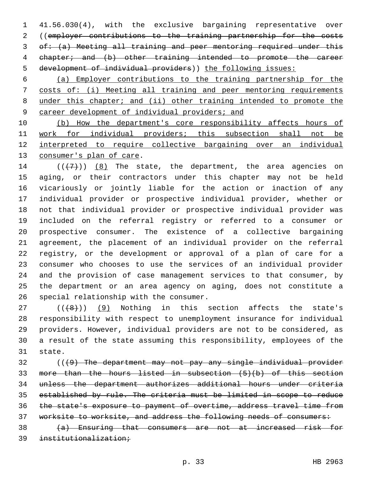41.56.030(4), with the exclusive bargaining representative over ((employer contributions to the training partnership for the costs of: (a) Meeting all training and peer mentoring required under this chapter; and (b) other training intended to promote the career development of individual providers)) the following issues:

 (a) Employer contributions to the training partnership for the costs of: (i) Meeting all training and peer mentoring requirements under this chapter; and (ii) other training intended to promote the career development of individual providers; and

 (b) How the department's core responsibility affects hours of work for individual providers; this subsection shall not be interpreted to require collective bargaining over an individual 13 consumer's plan of care.

 $((+7+))$   $(8)$  The state, the department, the area agencies on aging, or their contractors under this chapter may not be held vicariously or jointly liable for the action or inaction of any individual provider or prospective individual provider, whether or not that individual provider or prospective individual provider was included on the referral registry or referred to a consumer or prospective consumer. The existence of a collective bargaining agreement, the placement of an individual provider on the referral registry, or the development or approval of a plan of care for a consumer who chooses to use the services of an individual provider and the provision of case management services to that consumer, by the department or an area agency on aging, does not constitute a 26 special relationship with the consumer.

 ( $(\overline{+8})$ ) (9) Nothing in this section affects the state's responsibility with respect to unemployment insurance for individual providers. However, individual providers are not to be considered, as a result of the state assuming this responsibility, employees of the 31 state.

 (((9) The department may not pay any single individual provider more than the hours listed in subsection (5)(b) of this section unless the department authorizes additional hours under criteria established by rule. The criteria must be limited in scope to reduce the state's exposure to payment of overtime, address travel time from worksite to worksite, and address the following needs of consumers:

 (a) Ensuring that consumers are not at increased risk for institutionalization;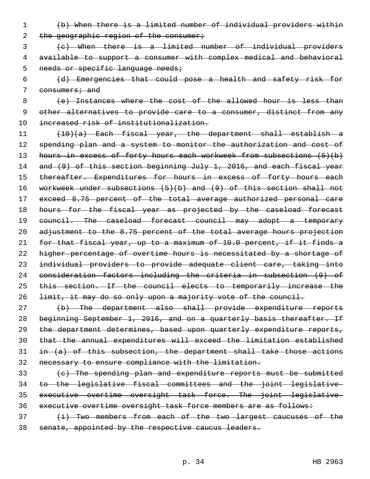- (b) When there is a limited number of individual providers within 2 the geographic region of the consumer;
- (c) When there is a limited number of individual providers available to support a consumer with complex medical and behavioral 5 needs or specific language needs;
- (d) Emergencies that could pose a health and safety risk for 7 consumers; and

8 (e) Instances where the cost of the allowed hour is less than other alternatives to provide care to a consumer, distinct from any increased risk of institutionalization.

 (10)(a) Each fiscal year, the department shall establish a 12 spending plan and a system to monitor the authorization and cost of 13 hours in excess of forty hours each workweek from subsections (5)(b) 14 and (9) of this section beginning July 1, 2016, and each fiscal year 15 thereafter. Expenditures for hours in excess of forty hours each workweek under subsections (5)(b) and (9) of this section shall not exceed 8.75 percent of the total average authorized personal care 18 hours for the fiscal year as projected by the caseload forecast 19 council. The caseload forecast council may adopt a temporary adjustment to the 8.75 percent of the total average hours projection for that fiscal year, up to a maximum of 10.0 percent, if it finds a higher percentage of overtime hours is necessitated by a shortage of individual providers to provide adequate client care, taking into consideration factors including the criteria in subsection (9) of 25 this section. If the council elects to temporarily increase the limit, it may do so only upon a majority vote of the council.

- (b) The department also shall provide expenditure reports 28 beginning September 1, 2016, and on a quarterly basis thereafter. If the department determines, based upon quarterly expenditure reports, that the annual expenditures will exceed the limitation established in  $(a)$  of this subsection, the department shall take those actions necessary to ensure compliance with the limitation.
- (c) The spending plan and expenditure reports must be submitted to the legislative fiscal committees and the joint legislative- executive overtime oversight task force. The joint legislative-36 executive overtime oversight task force members are as follows:
- 37 (i) Two members from each of the two largest caucuses of the senate, appointed by the respective caucus leaders.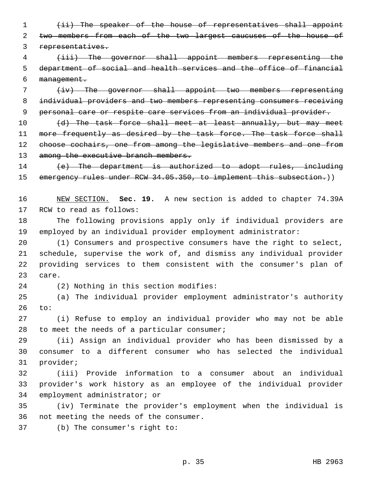(ii) The speaker of the house of representatives shall appoint 2 two members from each of the two largest caucuses of the house of representatives.

 (iii) The governor shall appoint members representing the department of social and health services and the office of financial management.

 (iv) The governor shall appoint two members representing individual providers and two members representing consumers receiving personal care or respite care services from an individual provider.

10 (d) The task force shall meet at least annually, but may meet 11 more frequently as desired by the task force. The task force shall choose cochairs, one from among the legislative members and one from 13 among the executive branch members.

14 (e) The department is authorized to adopt rules, including 15 emergency rules under RCW 34.05.350, to implement this subsection.))

 NEW SECTION. **Sec. 19.** A new section is added to chapter 74.39A 17 RCW to read as follows:

 The following provisions apply only if individual providers are employed by an individual provider employment administrator:

 (1) Consumers and prospective consumers have the right to select, schedule, supervise the work of, and dismiss any individual provider providing services to them consistent with the consumer's plan of 23 care.

24 (2) Nothing in this section modifies:

 (a) The individual provider employment administrator's authority to:

 (i) Refuse to employ an individual provider who may not be able 28 to meet the needs of a particular consumer;

 (ii) Assign an individual provider who has been dismissed by a consumer to a different consumer who has selected the individual 31 provider;

 (iii) Provide information to a consumer about an individual provider's work history as an employee of the individual provider 34 employment administrator; or

 (iv) Terminate the provider's employment when the individual is 36 not meeting the needs of the consumer.

37 (b) The consumer's right to: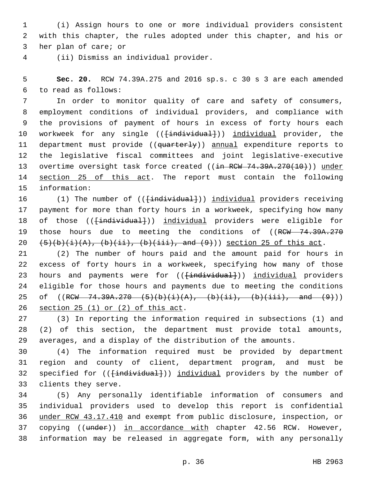1 (i) Assign hours to one or more individual providers consistent 2 with this chapter, the rules adopted under this chapter, and his or 3 her plan of care; or

(ii) Dismiss an individual provider.4

5 **Sec. 20.** RCW 74.39A.275 and 2016 sp.s. c 30 s 3 are each amended to read as follows:6

7 In order to monitor quality of care and safety of consumers, 8 employment conditions of individual providers, and compliance with 9 the provisions of payment of hours in excess of forty hours each 10 workweek for any single ((<del>[individual]</del>)) individual provider, the 11 department must provide ((quarterly)) annual expenditure reports to 12 the legislative fiscal committees and joint legislative-executive 13 overtime oversight task force created ((in RCW 74.39A.270(10))) under 14 section 25 of this act. The report must contain the following 15 information:

16 (1) The number of (( $\{\text{individual}\})$ ) individual providers receiving 17 payment for more than forty hours in a workweek, specifying how many 18 of those (( $\{\text{individual}\}$ )) individual providers were eligible for 19 those hours due to meeting the conditions of ((RCW 74.39A.270) 20  $(5)(b)(i)(A), (b)(ii), (b)(iii), and (9))$  section 25 of this act.

21 (2) The number of hours paid and the amount paid for hours in 22 excess of forty hours in a workweek, specifying how many of those 23 hours and payments were for ((<del>[individual]</del>)) individual providers 24 eligible for those hours and payments due to meeting the conditions 25 of  $((RCW - 74.39A.270 - (5)(b)(i)(A), (b)(ii), (b)(iii), and (9))$ 26 section 25 (1) or (2) of this act.

27 (3) In reporting the information required in subsections (1) and 28 (2) of this section, the department must provide total amounts, 29 averages, and a display of the distribution of the amounts.

30 (4) The information required must be provided by department 31 region and county of client, department program, and must be 32 specified for ((<del>[individual]</del>)) individual providers by the number of 33 clients they serve.

 (5) Any personally identifiable information of consumers and individual providers used to develop this report is confidential under RCW 43.17.410 and exempt from public disclosure, inspection, or 37 copying ((under)) in accordance with chapter 42.56 RCW. However, information may be released in aggregate form, with any personally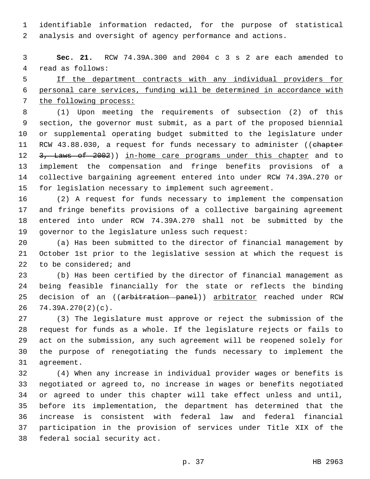identifiable information redacted, for the purpose of statistical analysis and oversight of agency performance and actions.

 **Sec. 21.** RCW 74.39A.300 and 2004 c 3 s 2 are each amended to 4 read as follows:

 If the department contracts with any individual providers for personal care services, funding will be determined in accordance with the following process:

 (1) Upon meeting the requirements of subsection (2) of this section, the governor must submit, as a part of the proposed biennial or supplemental operating budget submitted to the legislature under 11 RCW 43.88.030, a request for funds necessary to administer ((chapter 12 3, Laws of 2002)) in-home care programs under this chapter and to implement the compensation and fringe benefits provisions of a collective bargaining agreement entered into under RCW 74.39A.270 or for legislation necessary to implement such agreement.

 (2) A request for funds necessary to implement the compensation and fringe benefits provisions of a collective bargaining agreement entered into under RCW 74.39A.270 shall not be submitted by the 19 governor to the legislature unless such request:

 (a) Has been submitted to the director of financial management by October 1st prior to the legislative session at which the request is 22 to be considered; and

 (b) Has been certified by the director of financial management as being feasible financially for the state or reflects the binding 25 decision of an ((arbitration panel)) arbitrator reached under RCW 74.39A.270(2)(c).

 (3) The legislature must approve or reject the submission of the request for funds as a whole. If the legislature rejects or fails to act on the submission, any such agreement will be reopened solely for the purpose of renegotiating the funds necessary to implement the 31 agreement.

 (4) When any increase in individual provider wages or benefits is negotiated or agreed to, no increase in wages or benefits negotiated or agreed to under this chapter will take effect unless and until, before its implementation, the department has determined that the increase is consistent with federal law and federal financial participation in the provision of services under Title XIX of the 38 federal social security act.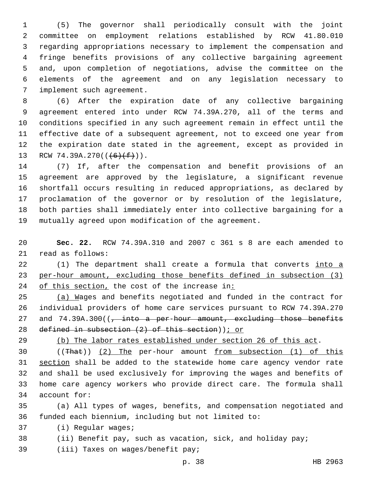(5) The governor shall periodically consult with the joint committee on employment relations established by RCW 41.80.010 regarding appropriations necessary to implement the compensation and fringe benefits provisions of any collective bargaining agreement and, upon completion of negotiations, advise the committee on the elements of the agreement and on any legislation necessary to 7 implement such agreement.

 (6) After the expiration date of any collective bargaining agreement entered into under RCW 74.39A.270, all of the terms and conditions specified in any such agreement remain in effect until the effective date of a subsequent agreement, not to exceed one year from the expiration date stated in the agreement, except as provided in 13 RCW 74.39A.270( $(\frac{6}{f})$ ).

 (7) If, after the compensation and benefit provisions of an agreement are approved by the legislature, a significant revenue shortfall occurs resulting in reduced appropriations, as declared by proclamation of the governor or by resolution of the legislature, both parties shall immediately enter into collective bargaining for a mutually agreed upon modification of the agreement.

 **Sec. 22.** RCW 74.39A.310 and 2007 c 361 s 8 are each amended to 21 read as follows:

22 (1) The department shall create a formula that converts into a per-hour amount, excluding those benefits defined in subsection (3) 24 of this section, the cost of the increase in:

 (a) Wages and benefits negotiated and funded in the contract for individual providers of home care services pursuant to RCW 74.39A.270 27 and 74.39A.300((, into a per-hour amount, excluding those benefits defined in subsection (2) of this section)); or

(b) The labor rates established under section 26 of this act.

 ((That)) (2) The per-hour amount from subsection (1) of this section shall be added to the statewide home care agency vendor rate and shall be used exclusively for improving the wages and benefits of home care agency workers who provide direct care. The formula shall 34 account for:

 (a) All types of wages, benefits, and compensation negotiated and funded each biennium, including but not limited to:

37 (i) Reqular waqes;

(ii) Benefit pay, such as vacation, sick, and holiday pay;

39 (iii) Taxes on wages/benefit pay;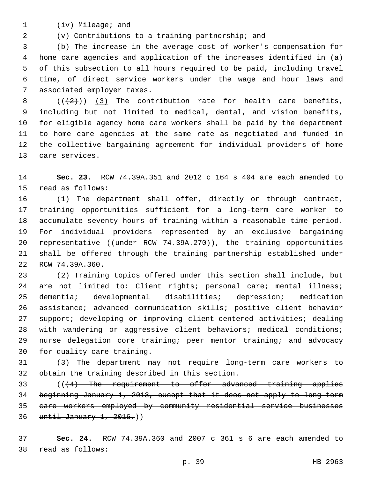1 (iv) Mileage; and

(v) Contributions to a training partnership; and

 (b) The increase in the average cost of worker's compensation for home care agencies and application of the increases identified in (a) of this subsection to all hours required to be paid, including travel time, of direct service workers under the wage and hour laws and 7 associated employer taxes.

 $((+2))$   $(3)$  The contribution rate for health care benefits, including but not limited to medical, dental, and vision benefits, for eligible agency home care workers shall be paid by the department to home care agencies at the same rate as negotiated and funded in the collective bargaining agreement for individual providers of home 13 care services.

 **Sec. 23.** RCW 74.39A.351 and 2012 c 164 s 404 are each amended to 15 read as follows:

 (1) The department shall offer, directly or through contract, training opportunities sufficient for a long-term care worker to accumulate seventy hours of training within a reasonable time period. For individual providers represented by an exclusive bargaining 20 representative ((under RCW 74.39A.270)), the training opportunities shall be offered through the training partnership established under 22 RCW 74.39A.360.

 (2) Training topics offered under this section shall include, but are not limited to: Client rights; personal care; mental illness; dementia; developmental disabilities; depression; medication assistance; advanced communication skills; positive client behavior support; developing or improving client-centered activities; dealing with wandering or aggressive client behaviors; medical conditions; nurse delegation core training; peer mentor training; and advocacy 30 for quality care training.

 (3) The department may not require long-term care workers to 32 obtain the training described in this section.

 (((4) The requirement to offer advanced training applies beginning January 1, 2013, except that it does not apply to long-term care workers employed by community residential service businesses until January 1, 2016.))

 **Sec. 24.** RCW 74.39A.360 and 2007 c 361 s 6 are each amended to 38 read as follows:

p. 39 HB 2963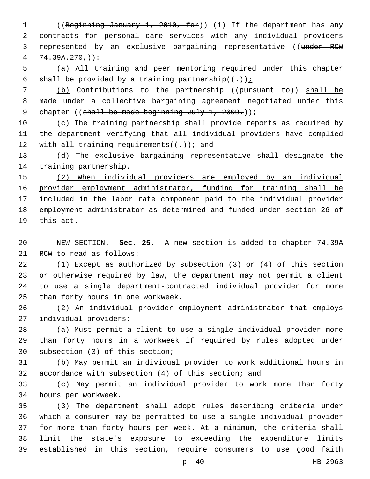1 ((Beginning January 1, 2010, for)) (1) If the department has any 2 contracts for personal care services with any individual providers 3 represented by an exclusive bargaining representative ((under RCW  $4 \quad 74.39A.270.$ 

5 (a) All training and peer mentoring required under this chapter 6 shall be provided by a training partnership $((-))$  i

7 (b) Contributions to the partnership ((pursuant to)) shall be 8 made under a collective bargaining agreement negotiated under this 9 chapter ((shall be made beginning July 1, 2009.));

10 (c) The training partnership shall provide reports as required by 11 the department verifying that all individual providers have complied 12 with all training requirements( $(-)$ ); and

13 (d) The exclusive bargaining representative shall designate the 14 training partnership.

15 (2) When individual providers are employed by an individual 16 provider employment administrator, funding for training shall be 17 included in the labor rate component paid to the individual provider 18 employment administrator as determined and funded under section 26 of 19 this act.

20 NEW SECTION. **Sec. 25.** A new section is added to chapter 74.39A 21 RCW to read as follows:

 (1) Except as authorized by subsection (3) or (4) of this section or otherwise required by law, the department may not permit a client to use a single department-contracted individual provider for more 25 than forty hours in one workweek.

26 (2) An individual provider employment administrator that employs 27 individual providers:

28 (a) Must permit a client to use a single individual provider more 29 than forty hours in a workweek if required by rules adopted under 30 subsection (3) of this section;

31 (b) May permit an individual provider to work additional hours in 32 accordance with subsection (4) of this section; and

33 (c) May permit an individual provider to work more than forty 34 hours per workweek.

 (3) The department shall adopt rules describing criteria under which a consumer may be permitted to use a single individual provider for more than forty hours per week. At a minimum, the criteria shall limit the state's exposure to exceeding the expenditure limits established in this section, require consumers to use good faith

p. 40 HB 2963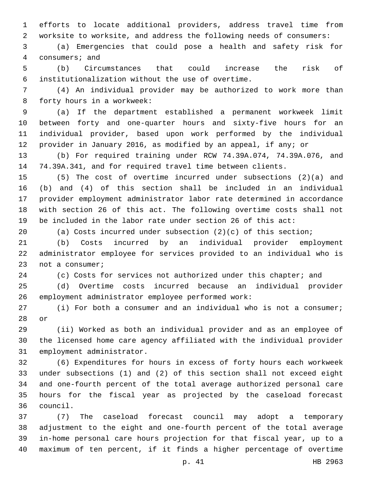efforts to locate additional providers, address travel time from worksite to worksite, and address the following needs of consumers:

 (a) Emergencies that could pose a health and safety risk for 4 consumers; and

 (b) Circumstances that could increase the risk of institutionalization without the use of overtime.6

 (4) An individual provider may be authorized to work more than 8 forty hours in a workweek:

 (a) If the department established a permanent workweek limit between forty and one-quarter hours and sixty-five hours for an individual provider, based upon work performed by the individual provider in January 2016, as modified by an appeal, if any; or

 (b) For required training under RCW 74.39A.074, 74.39A.076, and 74.39A.341, and for required travel time between clients.

 (5) The cost of overtime incurred under subsections (2)(a) and (b) and (4) of this section shall be included in an individual provider employment administrator labor rate determined in accordance with section 26 of this act. The following overtime costs shall not be included in the labor rate under section 26 of this act:

(a) Costs incurred under subsection (2)(c) of this section;

 (b) Costs incurred by an individual provider employment administrator employee for services provided to an individual who is 23 not a consumer;

24 (c) Costs for services not authorized under this chapter; and

 (d) Overtime costs incurred because an individual provider 26 employment administrator employee performed work:

 (i) For both a consumer and an individual who is not a consumer; 28 or

 (ii) Worked as both an individual provider and as an employee of the licensed home care agency affiliated with the individual provider 31 employment administrator.

 (6) Expenditures for hours in excess of forty hours each workweek under subsections (1) and (2) of this section shall not exceed eight and one-fourth percent of the total average authorized personal care hours for the fiscal year as projected by the caseload forecast council.36

 (7) The caseload forecast council may adopt a temporary adjustment to the eight and one-fourth percent of the total average in-home personal care hours projection for that fiscal year, up to a maximum of ten percent, if it finds a higher percentage of overtime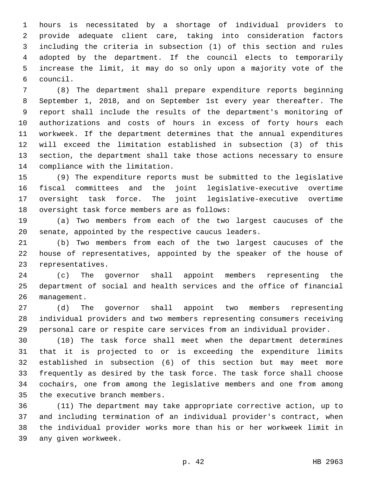hours is necessitated by a shortage of individual providers to provide adequate client care, taking into consideration factors including the criteria in subsection (1) of this section and rules adopted by the department. If the council elects to temporarily increase the limit, it may do so only upon a majority vote of the council.6

 (8) The department shall prepare expenditure reports beginning September 1, 2018, and on September 1st every year thereafter. The report shall include the results of the department's monitoring of authorizations and costs of hours in excess of forty hours each workweek. If the department determines that the annual expenditures will exceed the limitation established in subsection (3) of this section, the department shall take those actions necessary to ensure 14 compliance with the limitation.

 (9) The expenditure reports must be submitted to the legislative fiscal committees and the joint legislative-executive overtime oversight task force. The joint legislative-executive overtime 18 oversight task force members are as follows:

 (a) Two members from each of the two largest caucuses of the senate, appointed by the respective caucus leaders.

 (b) Two members from each of the two largest caucuses of the house of representatives, appointed by the speaker of the house of 23 representatives.

 (c) The governor shall appoint members representing the department of social and health services and the office of financial 26 management.

 (d) The governor shall appoint two members representing individual providers and two members representing consumers receiving personal care or respite care services from an individual provider.

 (10) The task force shall meet when the department determines that it is projected to or is exceeding the expenditure limits established in subsection (6) of this section but may meet more frequently as desired by the task force. The task force shall choose cochairs, one from among the legislative members and one from among 35 the executive branch members.

 (11) The department may take appropriate corrective action, up to and including termination of an individual provider's contract, when the individual provider works more than his or her workweek limit in 39 any given workweek.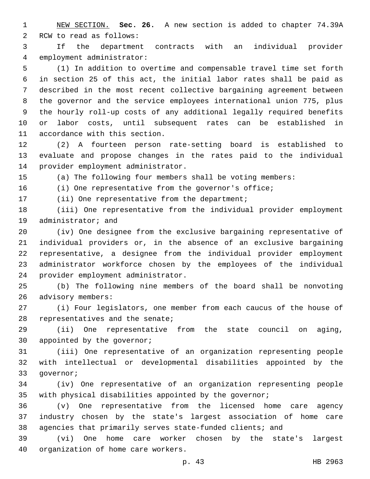NEW SECTION. **Sec. 26.** A new section is added to chapter 74.39A 2 RCW to read as follows:

 If the department contracts with an individual provider 4 employment administrator:

 (1) In addition to overtime and compensable travel time set forth in section 25 of this act, the initial labor rates shall be paid as described in the most recent collective bargaining agreement between the governor and the service employees international union 775, plus the hourly roll-up costs of any additional legally required benefits or labor costs, until subsequent rates can be established in 11 accordance with this section.

 (2) A fourteen person rate-setting board is established to evaluate and propose changes in the rates paid to the individual 14 provider employment administrator.

(a) The following four members shall be voting members:

(i) One representative from the governor's office;

17 (ii) One representative from the department;

 (iii) One representative from the individual provider employment 19 administrator; and

 (iv) One designee from the exclusive bargaining representative of individual providers or, in the absence of an exclusive bargaining representative, a designee from the individual provider employment administrator workforce chosen by the employees of the individual 24 provider employment administrator.

 (b) The following nine members of the board shall be nonvoting 26 advisory members:

 (i) Four legislators, one member from each caucus of the house of 28 representatives and the senate;

 (ii) One representative from the state council on aging, 30 appointed by the governor;

 (iii) One representative of an organization representing people with intellectual or developmental disabilities appointed by the 33 qovernor;

 (iv) One representative of an organization representing people with physical disabilities appointed by the governor;

 (v) One representative from the licensed home care agency industry chosen by the state's largest association of home care agencies that primarily serves state-funded clients; and

 (vi) One home care worker chosen by the state's largest 40 organization of home care workers.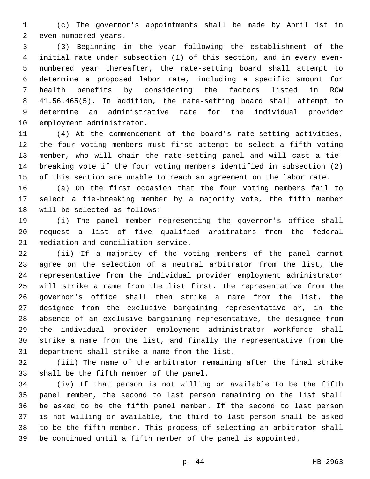(c) The governor's appointments shall be made by April 1st in 2 even-numbered years.

 (3) Beginning in the year following the establishment of the initial rate under subsection (1) of this section, and in every even- numbered year thereafter, the rate-setting board shall attempt to determine a proposed labor rate, including a specific amount for health benefits by considering the factors listed in RCW 41.56.465(5). In addition, the rate-setting board shall attempt to determine an administrative rate for the individual provider 10 employment administrator.

 (4) At the commencement of the board's rate-setting activities, the four voting members must first attempt to select a fifth voting member, who will chair the rate-setting panel and will cast a tie- breaking vote if the four voting members identified in subsection (2) of this section are unable to reach an agreement on the labor rate.

 (a) On the first occasion that the four voting members fail to select a tie-breaking member by a majority vote, the fifth member 18 will be selected as follows:

 (i) The panel member representing the governor's office shall request a list of five qualified arbitrators from the federal 21 mediation and conciliation service.

 (ii) If a majority of the voting members of the panel cannot agree on the selection of a neutral arbitrator from the list, the representative from the individual provider employment administrator will strike a name from the list first. The representative from the governor's office shall then strike a name from the list, the designee from the exclusive bargaining representative or, in the absence of an exclusive bargaining representative, the designee from the individual provider employment administrator workforce shall strike a name from the list, and finally the representative from the 31 department shall strike a name from the list.

 (iii) The name of the arbitrator remaining after the final strike 33 shall be the fifth member of the panel.

 (iv) If that person is not willing or available to be the fifth panel member, the second to last person remaining on the list shall be asked to be the fifth panel member. If the second to last person is not willing or available, the third to last person shall be asked to be the fifth member. This process of selecting an arbitrator shall be continued until a fifth member of the panel is appointed.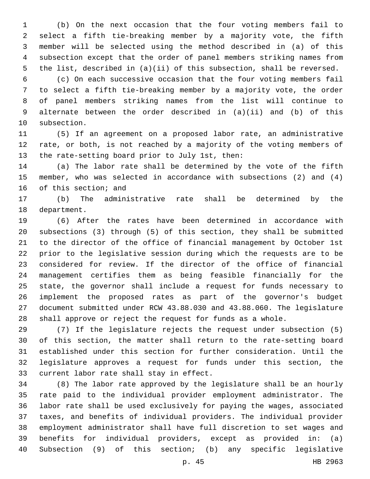(b) On the next occasion that the four voting members fail to select a fifth tie-breaking member by a majority vote, the fifth member will be selected using the method described in (a) of this subsection except that the order of panel members striking names from the list, described in (a)(ii) of this subsection, shall be reversed.

 (c) On each successive occasion that the four voting members fail to select a fifth tie-breaking member by a majority vote, the order of panel members striking names from the list will continue to alternate between the order described in (a)(ii) and (b) of this 10 subsection.

 (5) If an agreement on a proposed labor rate, an administrative rate, or both, is not reached by a majority of the voting members of 13 the rate-setting board prior to July 1st, then:

 (a) The labor rate shall be determined by the vote of the fifth member, who was selected in accordance with subsections (2) and (4) 16 of this section; and

 (b) The administrative rate shall be determined by the 18 department.

 (6) After the rates have been determined in accordance with subsections (3) through (5) of this section, they shall be submitted to the director of the office of financial management by October 1st prior to the legislative session during which the requests are to be considered for review. If the director of the office of financial management certifies them as being feasible financially for the state, the governor shall include a request for funds necessary to implement the proposed rates as part of the governor's budget document submitted under RCW 43.88.030 and 43.88.060. The legislature shall approve or reject the request for funds as a whole.

 (7) If the legislature rejects the request under subsection (5) of this section, the matter shall return to the rate-setting board established under this section for further consideration. Until the legislature approves a request for funds under this section, the 33 current labor rate shall stay in effect.

 (8) The labor rate approved by the legislature shall be an hourly rate paid to the individual provider employment administrator. The labor rate shall be used exclusively for paying the wages, associated taxes, and benefits of individual providers. The individual provider employment administrator shall have full discretion to set wages and benefits for individual providers, except as provided in: (a) Subsection (9) of this section; (b) any specific legislative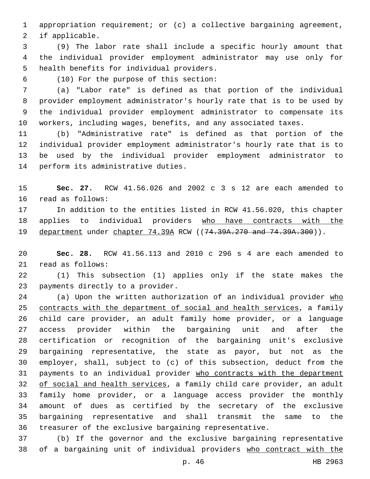appropriation requirement; or (c) a collective bargaining agreement, 2 if applicable.

 (9) The labor rate shall include a specific hourly amount that the individual provider employment administrator may use only for 5 health benefits for individual providers.

(10) For the purpose of this section:6

 (a) "Labor rate" is defined as that portion of the individual provider employment administrator's hourly rate that is to be used by the individual provider employment administrator to compensate its workers, including wages, benefits, and any associated taxes.

 (b) "Administrative rate" is defined as that portion of the individual provider employment administrator's hourly rate that is to be used by the individual provider employment administrator to 14 perform its administrative duties.

 **Sec. 27.** RCW 41.56.026 and 2002 c 3 s 12 are each amended to 16 read as follows:

 In addition to the entities listed in RCW 41.56.020, this chapter 18 applies to individual providers who have contracts with the 19 department under chapter 74.39A RCW ((74.39A.270 and 74.39A.300)).

 **Sec. 28.** RCW 41.56.113 and 2010 c 296 s 4 are each amended to 21 read as follows:

 (1) This subsection (1) applies only if the state makes the 23 payments directly to a provider.

24 (a) Upon the written authorization of an individual provider who contracts with the department of social and health services, a family child care provider, an adult family home provider, or a language access provider within the bargaining unit and after the certification or recognition of the bargaining unit's exclusive bargaining representative, the state as payor, but not as the employer, shall, subject to (c) of this subsection, deduct from the payments to an individual provider who contracts with the department 32 of social and health services, a family child care provider, an adult family home provider, or a language access provider the monthly amount of dues as certified by the secretary of the exclusive bargaining representative and shall transmit the same to the treasurer of the exclusive bargaining representative.

 (b) If the governor and the exclusive bargaining representative of a bargaining unit of individual providers who contract with the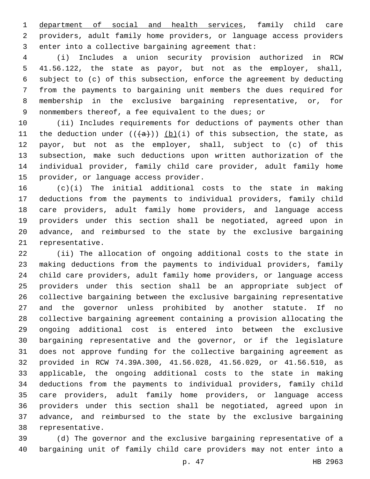department of social and health services, family child care providers, adult family home providers, or language access providers 3 enter into a collective bargaining agreement that:

 (i) Includes a union security provision authorized in RCW 41.56.122, the state as payor, but not as the employer, shall, subject to (c) of this subsection, enforce the agreement by deducting from the payments to bargaining unit members the dues required for membership in the exclusive bargaining representative, or, for nonmembers thereof, a fee equivalent to the dues; or

 (ii) Includes requirements for deductions of payments other than 11 the deduction under  $((+a))$  (b)(i) of this subsection, the state, as payor, but not as the employer, shall, subject to (c) of this subsection, make such deductions upon written authorization of the individual provider, family child care provider, adult family home 15 provider, or language access provider.

 (c)(i) The initial additional costs to the state in making deductions from the payments to individual providers, family child care providers, adult family home providers, and language access providers under this section shall be negotiated, agreed upon in advance, and reimbursed to the state by the exclusive bargaining 21 representative.

 (ii) The allocation of ongoing additional costs to the state in making deductions from the payments to individual providers, family child care providers, adult family home providers, or language access providers under this section shall be an appropriate subject of collective bargaining between the exclusive bargaining representative and the governor unless prohibited by another statute. If no collective bargaining agreement containing a provision allocating the ongoing additional cost is entered into between the exclusive bargaining representative and the governor, or if the legislature does not approve funding for the collective bargaining agreement as provided in RCW 74.39A.300, 41.56.028, 41.56.029, or 41.56.510, as applicable, the ongoing additional costs to the state in making deductions from the payments to individual providers, family child care providers, adult family home providers, or language access providers under this section shall be negotiated, agreed upon in advance, and reimbursed to the state by the exclusive bargaining 38 representative.

 (d) The governor and the exclusive bargaining representative of a bargaining unit of family child care providers may not enter into a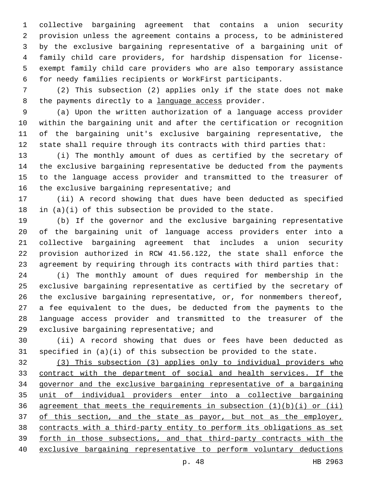collective bargaining agreement that contains a union security provision unless the agreement contains a process, to be administered by the exclusive bargaining representative of a bargaining unit of family child care providers, for hardship dispensation for license- exempt family child care providers who are also temporary assistance for needy families recipients or WorkFirst participants.

 (2) This subsection (2) applies only if the state does not make 8 the payments directly to a language access provider.

 (a) Upon the written authorization of a language access provider within the bargaining unit and after the certification or recognition of the bargaining unit's exclusive bargaining representative, the state shall require through its contracts with third parties that:

 (i) The monthly amount of dues as certified by the secretary of the exclusive bargaining representative be deducted from the payments to the language access provider and transmitted to the treasurer of 16 the exclusive bargaining representative; and

 (ii) A record showing that dues have been deducted as specified 18 in  $(a)(i)$  of this subsection be provided to the state.

 (b) If the governor and the exclusive bargaining representative of the bargaining unit of language access providers enter into a collective bargaining agreement that includes a union security provision authorized in RCW 41.56.122, the state shall enforce the agreement by requiring through its contracts with third parties that:

 (i) The monthly amount of dues required for membership in the exclusive bargaining representative as certified by the secretary of the exclusive bargaining representative, or, for nonmembers thereof, a fee equivalent to the dues, be deducted from the payments to the language access provider and transmitted to the treasurer of the 29 exclusive bargaining representative; and

 (ii) A record showing that dues or fees have been deducted as specified in (a)(i) of this subsection be provided to the state.

 (3) This subsection (3) applies only to individual providers who contract with the department of social and health services. If the governor and the exclusive bargaining representative of a bargaining unit of individual providers enter into a collective bargaining 36 agreement that meets the requirements in subsection  $(1)(b)(i)$  or  $(ii)$ 37 of this section, and the state as payor, but not as the employer, contracts with a third-party entity to perform its obligations as set forth in those subsections, and that third-party contracts with the exclusive bargaining representative to perform voluntary deductions

p. 48 HB 2963